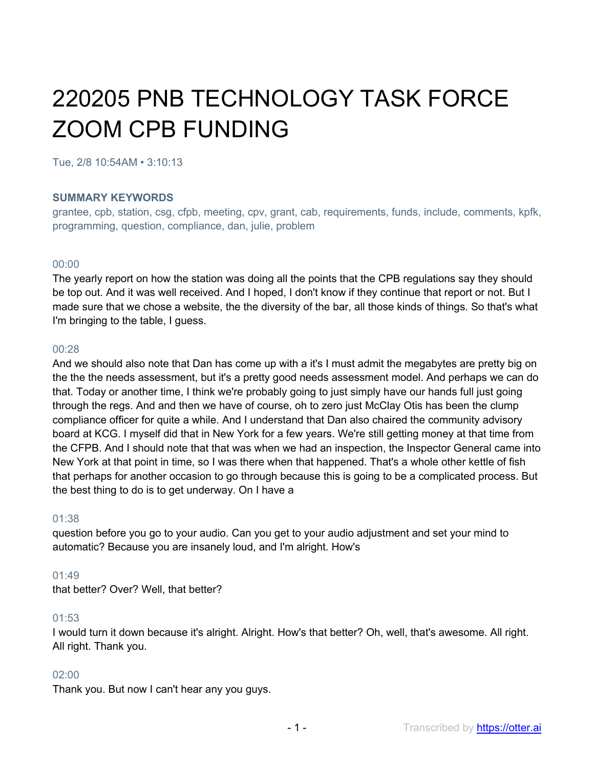# 220205 PNB TECHNOLOGY TASK FORCE ZOOM CPB FUNDING

Tue, 2/8 10:54AM • 3:10:13

#### **SUMMARY KEYWORDS**

grantee, cpb, station, csg, cfpb, meeting, cpv, grant, cab, requirements, funds, include, comments, kpfk, programming, question, compliance, dan, julie, problem

#### 00:00

The yearly report on how the station was doing all the points that the CPB regulations say they should be top out. And it was well received. And I hoped, I don't know if they continue that report or not. But I made sure that we chose a website, the the diversity of the bar, all those kinds of things. So that's what I'm bringing to the table, I guess.

#### 00:28

And we should also note that Dan has come up with a it's I must admit the megabytes are pretty big on the the the needs assessment, but it's a pretty good needs assessment model. And perhaps we can do that. Today or another time, I think we're probably going to just simply have our hands full just going through the regs. And and then we have of course, oh to zero just McClay Otis has been the clump compliance officer for quite a while. And I understand that Dan also chaired the community advisory board at KCG. I myself did that in New York for a few years. We're still getting money at that time from the CFPB. And I should note that that was when we had an inspection, the Inspector General came into New York at that point in time, so I was there when that happened. That's a whole other kettle of fish that perhaps for another occasion to go through because this is going to be a complicated process. But the best thing to do is to get underway. On I have a

#### 01:38

question before you go to your audio. Can you get to your audio adjustment and set your mind to automatic? Because you are insanely loud, and I'm alright. How's

#### $01:49$

that better? Over? Well, that better?

#### 01:53

I would turn it down because it's alright. Alright. How's that better? Oh, well, that's awesome. All right. All right. Thank you.

#### 02:00

Thank you. But now I can't hear any you guys.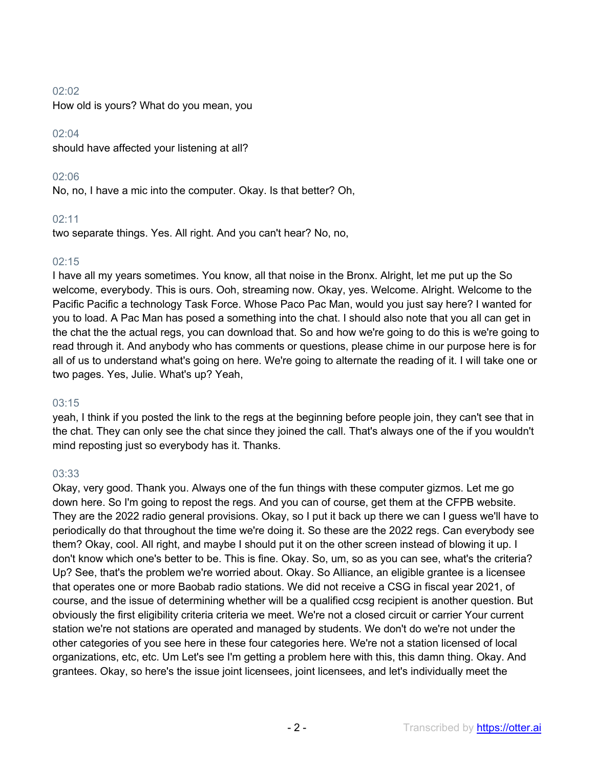#### 02:02

How old is yours? What do you mean, you

## $02:04$

should have affected your listening at all?

# 02:06

No, no, I have a mic into the computer. Okay. Is that better? Oh,

# $02.11$

two separate things. Yes. All right. And you can't hear? No, no,

# 02:15

I have all my years sometimes. You know, all that noise in the Bronx. Alright, let me put up the So welcome, everybody. This is ours. Ooh, streaming now. Okay, yes. Welcome. Alright. Welcome to the Pacific Pacific a technology Task Force. Whose Paco Pac Man, would you just say here? I wanted for you to load. A Pac Man has posed a something into the chat. I should also note that you all can get in the chat the the actual regs, you can download that. So and how we're going to do this is we're going to read through it. And anybody who has comments or questions, please chime in our purpose here is for all of us to understand what's going on here. We're going to alternate the reading of it. I will take one or two pages. Yes, Julie. What's up? Yeah,

#### $03:15$

yeah, I think if you posted the link to the regs at the beginning before people join, they can't see that in the chat. They can only see the chat since they joined the call. That's always one of the if you wouldn't mind reposting just so everybody has it. Thanks.

# 03:33

Okay, very good. Thank you. Always one of the fun things with these computer gizmos. Let me go down here. So I'm going to repost the regs. And you can of course, get them at the CFPB website. They are the 2022 radio general provisions. Okay, so I put it back up there we can I guess we'll have to periodically do that throughout the time we're doing it. So these are the 2022 regs. Can everybody see them? Okay, cool. All right, and maybe I should put it on the other screen instead of blowing it up. I don't know which one's better to be. This is fine. Okay. So, um, so as you can see, what's the criteria? Up? See, that's the problem we're worried about. Okay. So Alliance, an eligible grantee is a licensee that operates one or more Baobab radio stations. We did not receive a CSG in fiscal year 2021, of course, and the issue of determining whether will be a qualified ccsg recipient is another question. But obviously the first eligibility criteria criteria we meet. We're not a closed circuit or carrier Your current station we're not stations are operated and managed by students. We don't do we're not under the other categories of you see here in these four categories here. We're not a station licensed of local organizations, etc, etc. Um Let's see I'm getting a problem here with this, this damn thing. Okay. And grantees. Okay, so here's the issue joint licensees, joint licensees, and let's individually meet the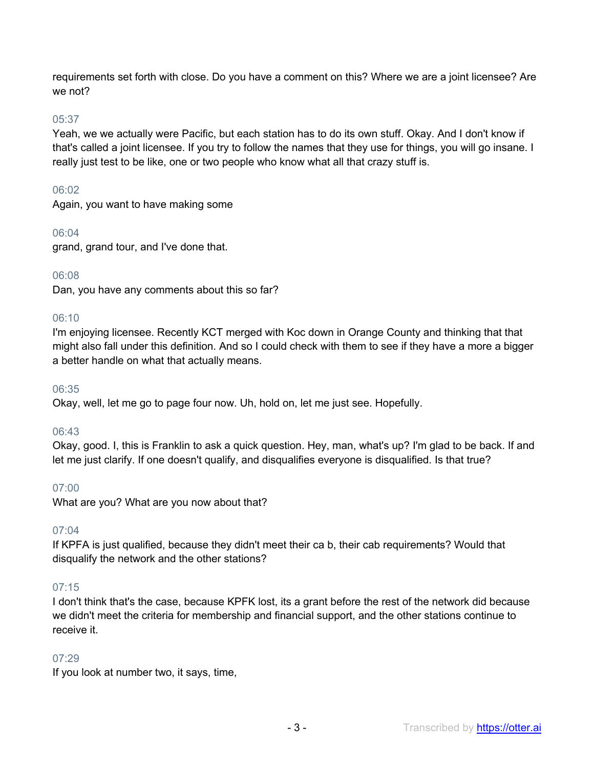requirements set forth with close. Do you have a comment on this? Where we are a joint licensee? Are we not?

# 05:37

Yeah, we we actually were Pacific, but each station has to do its own stuff. Okay. And I don't know if that's called a joint licensee. If you try to follow the names that they use for things, you will go insane. I really just test to be like, one or two people who know what all that crazy stuff is.

## 06:02

Again, you want to have making some

#### 06:04

grand, grand tour, and I've done that.

# 06:08

Dan, you have any comments about this so far?

# 06:10

I'm enjoying licensee. Recently KCT merged with Koc down in Orange County and thinking that that might also fall under this definition. And so I could check with them to see if they have a more a bigger a better handle on what that actually means.

#### 06:35

Okay, well, let me go to page four now. Uh, hold on, let me just see. Hopefully.

#### 06:43

Okay, good. I, this is Franklin to ask a quick question. Hey, man, what's up? I'm glad to be back. If and let me just clarify. If one doesn't qualify, and disqualifies everyone is disqualified. Is that true?

#### 07:00

What are you? What are you now about that?

#### 07:04

If KPFA is just qualified, because they didn't meet their ca b, their cab requirements? Would that disqualify the network and the other stations?

#### 07:15

I don't think that's the case, because KPFK lost, its a grant before the rest of the network did because we didn't meet the criteria for membership and financial support, and the other stations continue to receive it.

#### 07:29

If you look at number two, it says, time,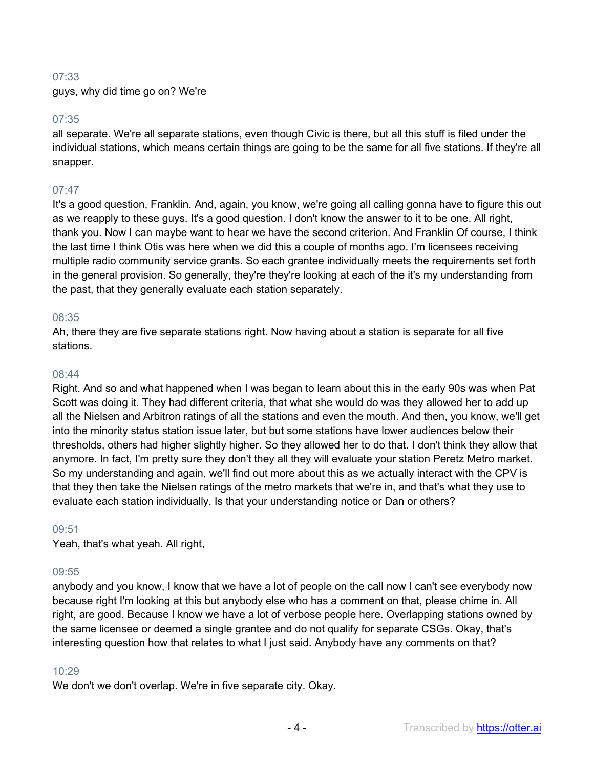# 07:33

guys, why did time go on? We're

# 07:35

all separate. We're all separate stations, even though Civic is there, but all this stuff is filed under the individual stations, which means certain things are going to be the same for all five stations. If they're all snapper.

# 07:47

It's a good question, Franklin. And, again, you know, we're going all calling gonna have to figure this out as we reapply to these guys. It's a good question. I don't know the answer to it to be one. All right, thank you. Now I can maybe want to hear we have the second criterion. And Franklin Of course, I think the last time I think Otis was here when we did this a couple of months ago. I'm licensees receiving multiple radio community service grants. So each grantee individually meets the requirements set forth in the general provision. So generally, they're they're looking at each of the it's my understanding from the past, that they generally evaluate each station separately.

#### 08:35

Ah, there they are five separate stations right. Now having about a station is separate for all five stations.

#### 08:44

Right. And so and what happened when I was began to learn about this in the early 90s was when Pat Scott was doing it. They had different criteria, that what she would do was they allowed her to add up all the Nielsen and Arbitron ratings of all the stations and even the mouth. And then, you know, we'll get into the minority status station issue later, but but some stations have lower audiences below their thresholds, others had higher slightly higher. So they allowed her to do that. I don't think they allow that anymore. In fact, I'm pretty sure they don't they all they will evaluate your station Peretz Metro market. So my understanding and again, we'll find out more about this as we actually interact with the CPV is that they then take the Nielsen ratings of the metro markets that we're in, and that's what they use to evaluate each station individually. Is that your understanding notice or Dan or others?

#### 09:51

Yeah, that's what yeah. All right,

#### 09:55

anybody and you know, I know that we have a lot of people on the call now I can't see everybody now because right I'm looking at this but anybody else who has a comment on that, please chime in. All right, are good. Because I know we have a lot of verbose people here. Overlapping stations owned by the same licensee or deemed a single grantee and do not qualify for separate CSGs. Okay, that's interesting question how that relates to what I just said. Anybody have any comments on that?

#### 10:29

We don't we don't overlap. We're in five separate city. Okay.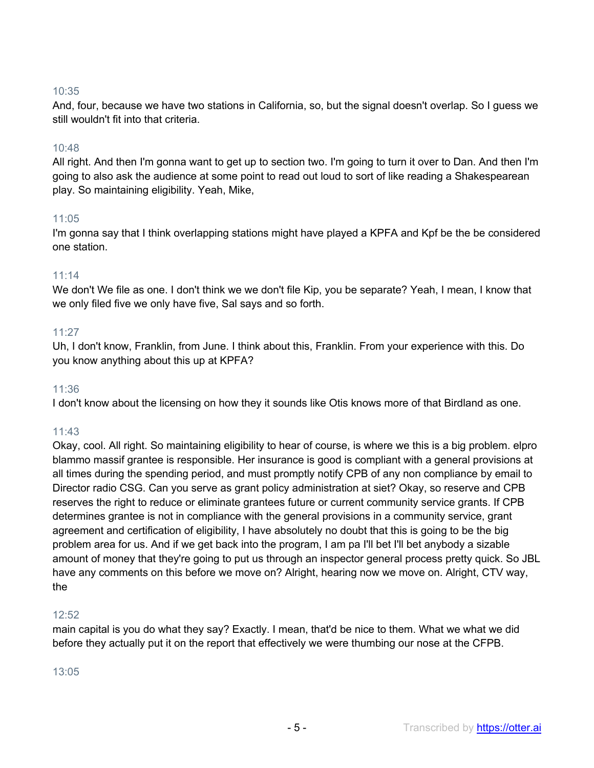# 10:35

And, four, because we have two stations in California, so, but the signal doesn't overlap. So I guess we still wouldn't fit into that criteria.

# 10:48

All right. And then I'm gonna want to get up to section two. I'm going to turn it over to Dan. And then I'm going to also ask the audience at some point to read out loud to sort of like reading a Shakespearean play. So maintaining eligibility. Yeah, Mike,

# 11:05

I'm gonna say that I think overlapping stations might have played a KPFA and Kpf be the be considered one station.

#### 11:14

We don't We file as one. I don't think we we don't file Kip, you be separate? Yeah, I mean, I know that we only filed five we only have five, Sal says and so forth.

# 11:27

Uh, I don't know, Franklin, from June. I think about this, Franklin. From your experience with this. Do you know anything about this up at KPFA?

#### 11:36

I don't know about the licensing on how they it sounds like Otis knows more of that Birdland as one.

# 11:43

Okay, cool. All right. So maintaining eligibility to hear of course, is where we this is a big problem. elpro blammo massif grantee is responsible. Her insurance is good is compliant with a general provisions at all times during the spending period, and must promptly notify CPB of any non compliance by email to Director radio CSG. Can you serve as grant policy administration at siet? Okay, so reserve and CPB reserves the right to reduce or eliminate grantees future or current community service grants. If CPB determines grantee is not in compliance with the general provisions in a community service, grant agreement and certification of eligibility, I have absolutely no doubt that this is going to be the big problem area for us. And if we get back into the program, I am pa I'll bet I'll bet anybody a sizable amount of money that they're going to put us through an inspector general process pretty quick. So JBL have any comments on this before we move on? Alright, hearing now we move on. Alright, CTV way, the

#### 12:52

main capital is you do what they say? Exactly. I mean, that'd be nice to them. What we what we did before they actually put it on the report that effectively we were thumbing our nose at the CFPB.

#### 13:05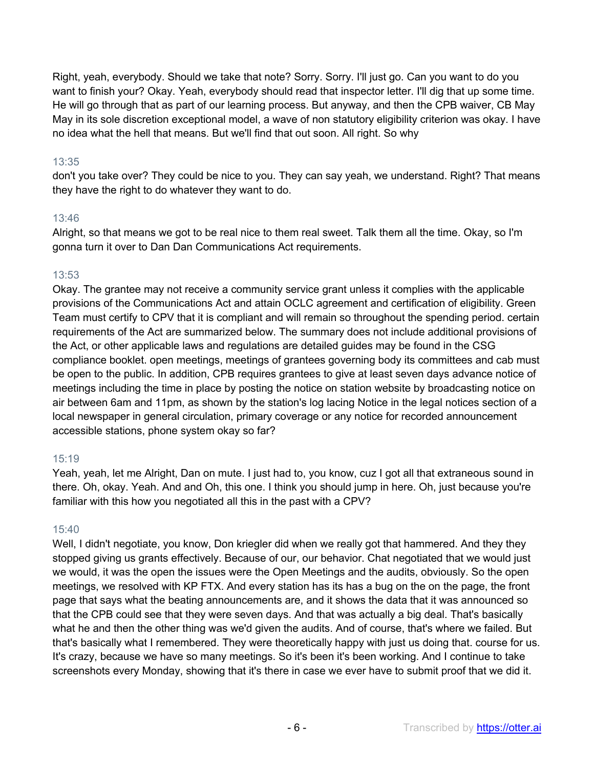Right, yeah, everybody. Should we take that note? Sorry. Sorry. I'll just go. Can you want to do you want to finish your? Okay. Yeah, everybody should read that inspector letter. I'll dig that up some time. He will go through that as part of our learning process. But anyway, and then the CPB waiver, CB May May in its sole discretion exceptional model, a wave of non statutory eligibility criterion was okay. I have no idea what the hell that means. But we'll find that out soon. All right. So why

# 13:35

don't you take over? They could be nice to you. They can say yeah, we understand. Right? That means they have the right to do whatever they want to do.

# 13:46

Alright, so that means we got to be real nice to them real sweet. Talk them all the time. Okay, so I'm gonna turn it over to Dan Dan Communications Act requirements.

# 13:53

Okay. The grantee may not receive a community service grant unless it complies with the applicable provisions of the Communications Act and attain OCLC agreement and certification of eligibility. Green Team must certify to CPV that it is compliant and will remain so throughout the spending period. certain requirements of the Act are summarized below. The summary does not include additional provisions of the Act, or other applicable laws and regulations are detailed guides may be found in the CSG compliance booklet. open meetings, meetings of grantees governing body its committees and cab must be open to the public. In addition, CPB requires grantees to give at least seven days advance notice of meetings including the time in place by posting the notice on station website by broadcasting notice on air between 6am and 11pm, as shown by the station's log lacing Notice in the legal notices section of a local newspaper in general circulation, primary coverage or any notice for recorded announcement accessible stations, phone system okay so far?

#### 15:19

Yeah, yeah, let me Alright, Dan on mute. I just had to, you know, cuz I got all that extraneous sound in there. Oh, okay. Yeah. And and Oh, this one. I think you should jump in here. Oh, just because you're familiar with this how you negotiated all this in the past with a CPV?

#### 15:40

Well, I didn't negotiate, you know, Don kriegler did when we really got that hammered. And they they stopped giving us grants effectively. Because of our, our behavior. Chat negotiated that we would just we would, it was the open the issues were the Open Meetings and the audits, obviously. So the open meetings, we resolved with KP FTX. And every station has its has a bug on the on the page, the front page that says what the beating announcements are, and it shows the data that it was announced so that the CPB could see that they were seven days. And that was actually a big deal. That's basically what he and then the other thing was we'd given the audits. And of course, that's where we failed. But that's basically what I remembered. They were theoretically happy with just us doing that. course for us. It's crazy, because we have so many meetings. So it's been it's been working. And I continue to take screenshots every Monday, showing that it's there in case we ever have to submit proof that we did it.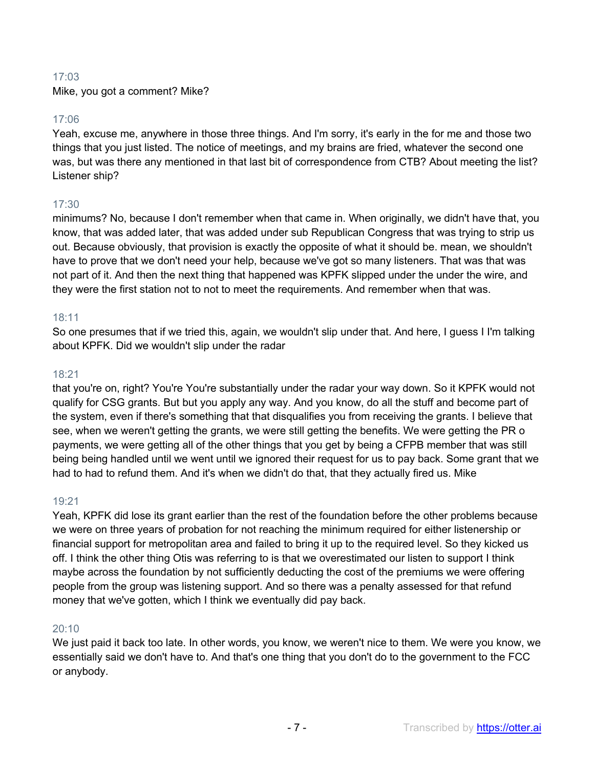# 17:03

Mike, you got a comment? Mike?

# 17:06

Yeah, excuse me, anywhere in those three things. And I'm sorry, it's early in the for me and those two things that you just listed. The notice of meetings, and my brains are fried, whatever the second one was, but was there any mentioned in that last bit of correspondence from CTB? About meeting the list? Listener ship?

# 17:30

minimums? No, because I don't remember when that came in. When originally, we didn't have that, you know, that was added later, that was added under sub Republican Congress that was trying to strip us out. Because obviously, that provision is exactly the opposite of what it should be. mean, we shouldn't have to prove that we don't need your help, because we've got so many listeners. That was that was not part of it. And then the next thing that happened was KPFK slipped under the under the wire, and they were the first station not to not to meet the requirements. And remember when that was.

# 18:11

So one presumes that if we tried this, again, we wouldn't slip under that. And here, I guess I I'm talking about KPFK. Did we wouldn't slip under the radar

#### 18:21

that you're on, right? You're You're substantially under the radar your way down. So it KPFK would not qualify for CSG grants. But but you apply any way. And you know, do all the stuff and become part of the system, even if there's something that that disqualifies you from receiving the grants. I believe that see, when we weren't getting the grants, we were still getting the benefits. We were getting the PR o payments, we were getting all of the other things that you get by being a CFPB member that was still being being handled until we went until we ignored their request for us to pay back. Some grant that we had to had to refund them. And it's when we didn't do that, that they actually fired us. Mike

#### 19:21

Yeah, KPFK did lose its grant earlier than the rest of the foundation before the other problems because we were on three years of probation for not reaching the minimum required for either listenership or financial support for metropolitan area and failed to bring it up to the required level. So they kicked us off. I think the other thing Otis was referring to is that we overestimated our listen to support I think maybe across the foundation by not sufficiently deducting the cost of the premiums we were offering people from the group was listening support. And so there was a penalty assessed for that refund money that we've gotten, which I think we eventually did pay back.

#### 20:10

We just paid it back too late. In other words, you know, we weren't nice to them. We were you know, we essentially said we don't have to. And that's one thing that you don't do to the government to the FCC or anybody.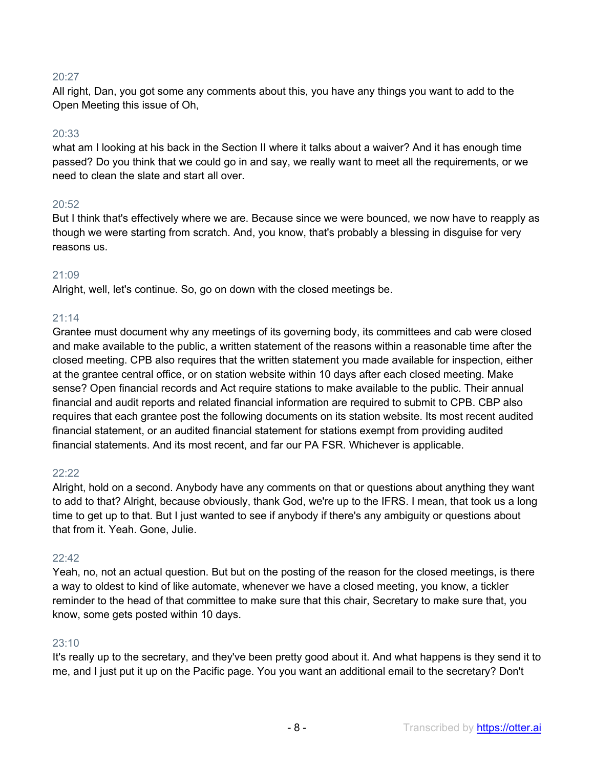# 20:27

All right, Dan, you got some any comments about this, you have any things you want to add to the Open Meeting this issue of Oh,

#### 20:33

what am I looking at his back in the Section II where it talks about a waiver? And it has enough time passed? Do you think that we could go in and say, we really want to meet all the requirements, or we need to clean the slate and start all over.

#### $20:52$

But I think that's effectively where we are. Because since we were bounced, we now have to reapply as though we were starting from scratch. And, you know, that's probably a blessing in disguise for very reasons us.

#### 21:09

Alright, well, let's continue. So, go on down with the closed meetings be.

#### 21:14

Grantee must document why any meetings of its governing body, its committees and cab were closed and make available to the public, a written statement of the reasons within a reasonable time after the closed meeting. CPB also requires that the written statement you made available for inspection, either at the grantee central office, or on station website within 10 days after each closed meeting. Make sense? Open financial records and Act require stations to make available to the public. Their annual financial and audit reports and related financial information are required to submit to CPB. CBP also requires that each grantee post the following documents on its station website. Its most recent audited financial statement, or an audited financial statement for stations exempt from providing audited financial statements. And its most recent, and far our PA FSR. Whichever is applicable.

#### 22:22

Alright, hold on a second. Anybody have any comments on that or questions about anything they want to add to that? Alright, because obviously, thank God, we're up to the IFRS. I mean, that took us a long time to get up to that. But I just wanted to see if anybody if there's any ambiguity or questions about that from it. Yeah. Gone, Julie.

#### 22:42

Yeah, no, not an actual question. But but on the posting of the reason for the closed meetings, is there a way to oldest to kind of like automate, whenever we have a closed meeting, you know, a tickler reminder to the head of that committee to make sure that this chair, Secretary to make sure that, you know, some gets posted within 10 days.

#### 23:10

It's really up to the secretary, and they've been pretty good about it. And what happens is they send it to me, and I just put it up on the Pacific page. You you want an additional email to the secretary? Don't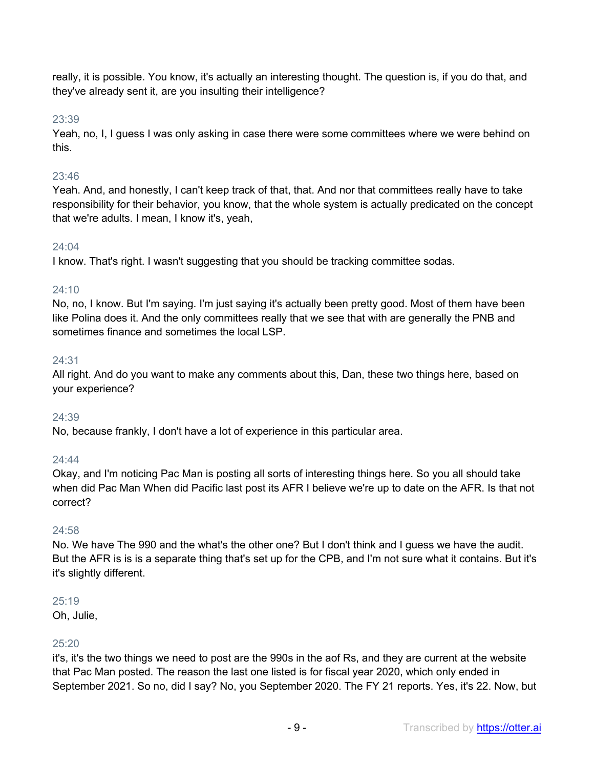really, it is possible. You know, it's actually an interesting thought. The question is, if you do that, and they've already sent it, are you insulting their intelligence?

# 23:39

Yeah, no, I, I guess I was only asking in case there were some committees where we were behind on this.

# 23:46

Yeah. And, and honestly, I can't keep track of that, that. And nor that committees really have to take responsibility for their behavior, you know, that the whole system is actually predicated on the concept that we're adults. I mean, I know it's, yeah,

# 24:04

I know. That's right. I wasn't suggesting that you should be tracking committee sodas.

# $24:10$

No, no, I know. But I'm saying. I'm just saying it's actually been pretty good. Most of them have been like Polina does it. And the only committees really that we see that with are generally the PNB and sometimes finance and sometimes the local LSP.

# 24:31

All right. And do you want to make any comments about this, Dan, these two things here, based on your experience?

# 24:39

No, because frankly, I don't have a lot of experience in this particular area.

# 24:44

Okay, and I'm noticing Pac Man is posting all sorts of interesting things here. So you all should take when did Pac Man When did Pacific last post its AFR I believe we're up to date on the AFR. Is that not correct?

#### $24:58$

No. We have The 990 and the what's the other one? But I don't think and I guess we have the audit. But the AFR is is is a separate thing that's set up for the CPB, and I'm not sure what it contains. But it's it's slightly different.

#### 25:19

Oh, Julie,

# 25:20

it's, it's the two things we need to post are the 990s in the aof Rs, and they are current at the website that Pac Man posted. The reason the last one listed is for fiscal year 2020, which only ended in September 2021. So no, did I say? No, you September 2020. The FY 21 reports. Yes, it's 22. Now, but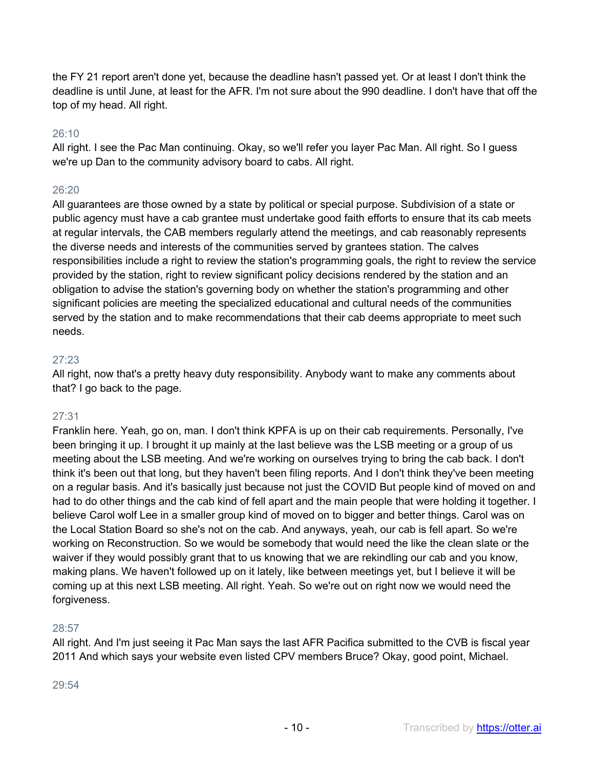the FY 21 report aren't done yet, because the deadline hasn't passed yet. Or at least I don't think the deadline is until June, at least for the AFR. I'm not sure about the 990 deadline. I don't have that off the top of my head. All right.

## 26:10

All right. I see the Pac Man continuing. Okay, so we'll refer you layer Pac Man. All right. So I guess we're up Dan to the community advisory board to cabs. All right.

# 26:20

All guarantees are those owned by a state by political or special purpose. Subdivision of a state or public agency must have a cab grantee must undertake good faith efforts to ensure that its cab meets at regular intervals, the CAB members regularly attend the meetings, and cab reasonably represents the diverse needs and interests of the communities served by grantees station. The calves responsibilities include a right to review the station's programming goals, the right to review the service provided by the station, right to review significant policy decisions rendered by the station and an obligation to advise the station's governing body on whether the station's programming and other significant policies are meeting the specialized educational and cultural needs of the communities served by the station and to make recommendations that their cab deems appropriate to meet such needs.

# 27:23

All right, now that's a pretty heavy duty responsibility. Anybody want to make any comments about that? I go back to the page.

# 27:31

Franklin here. Yeah, go on, man. I don't think KPFA is up on their cab requirements. Personally, I've been bringing it up. I brought it up mainly at the last believe was the LSB meeting or a group of us meeting about the LSB meeting. And we're working on ourselves trying to bring the cab back. I don't think it's been out that long, but they haven't been filing reports. And I don't think they've been meeting on a regular basis. And it's basically just because not just the COVID But people kind of moved on and had to do other things and the cab kind of fell apart and the main people that were holding it together. I believe Carol wolf Lee in a smaller group kind of moved on to bigger and better things. Carol was on the Local Station Board so she's not on the cab. And anyways, yeah, our cab is fell apart. So we're working on Reconstruction. So we would be somebody that would need the like the clean slate or the waiver if they would possibly grant that to us knowing that we are rekindling our cab and you know, making plans. We haven't followed up on it lately, like between meetings yet, but I believe it will be coming up at this next LSB meeting. All right. Yeah. So we're out on right now we would need the forgiveness.

#### 28:57

All right. And I'm just seeing it Pac Man says the last AFR Pacifica submitted to the CVB is fiscal year 2011 And which says your website even listed CPV members Bruce? Okay, good point, Michael.

29:54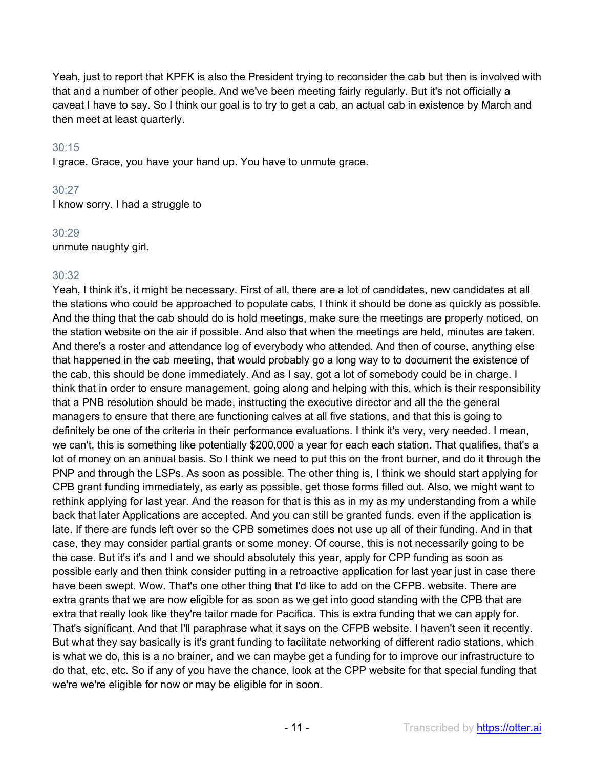Yeah, just to report that KPFK is also the President trying to reconsider the cab but then is involved with that and a number of other people. And we've been meeting fairly regularly. But it's not officially a caveat I have to say. So I think our goal is to try to get a cab, an actual cab in existence by March and then meet at least quarterly.

#### 30:15

I grace. Grace, you have your hand up. You have to unmute grace.

#### 30:27

I know sorry. I had a struggle to

#### 30:29

unmute naughty girl.

#### 30:32

Yeah, I think it's, it might be necessary. First of all, there are a lot of candidates, new candidates at all the stations who could be approached to populate cabs, I think it should be done as quickly as possible. And the thing that the cab should do is hold meetings, make sure the meetings are properly noticed, on the station website on the air if possible. And also that when the meetings are held, minutes are taken. And there's a roster and attendance log of everybody who attended. And then of course, anything else that happened in the cab meeting, that would probably go a long way to to document the existence of the cab, this should be done immediately. And as I say, got a lot of somebody could be in charge. I think that in order to ensure management, going along and helping with this, which is their responsibility that a PNB resolution should be made, instructing the executive director and all the the general managers to ensure that there are functioning calves at all five stations, and that this is going to definitely be one of the criteria in their performance evaluations. I think it's very, very needed. I mean, we can't, this is something like potentially \$200,000 a year for each each station. That qualifies, that's a lot of money on an annual basis. So I think we need to put this on the front burner, and do it through the PNP and through the LSPs. As soon as possible. The other thing is, I think we should start applying for CPB grant funding immediately, as early as possible, get those forms filled out. Also, we might want to rethink applying for last year. And the reason for that is this as in my as my understanding from a while back that later Applications are accepted. And you can still be granted funds, even if the application is late. If there are funds left over so the CPB sometimes does not use up all of their funding. And in that case, they may consider partial grants or some money. Of course, this is not necessarily going to be the case. But it's it's and I and we should absolutely this year, apply for CPP funding as soon as possible early and then think consider putting in a retroactive application for last year just in case there have been swept. Wow. That's one other thing that I'd like to add on the CFPB. website. There are extra grants that we are now eligible for as soon as we get into good standing with the CPB that are extra that really look like they're tailor made for Pacifica. This is extra funding that we can apply for. That's significant. And that I'll paraphrase what it says on the CFPB website. I haven't seen it recently. But what they say basically is it's grant funding to facilitate networking of different radio stations, which is what we do, this is a no brainer, and we can maybe get a funding for to improve our infrastructure to do that, etc, etc. So if any of you have the chance, look at the CPP website for that special funding that we're we're eligible for now or may be eligible for in soon.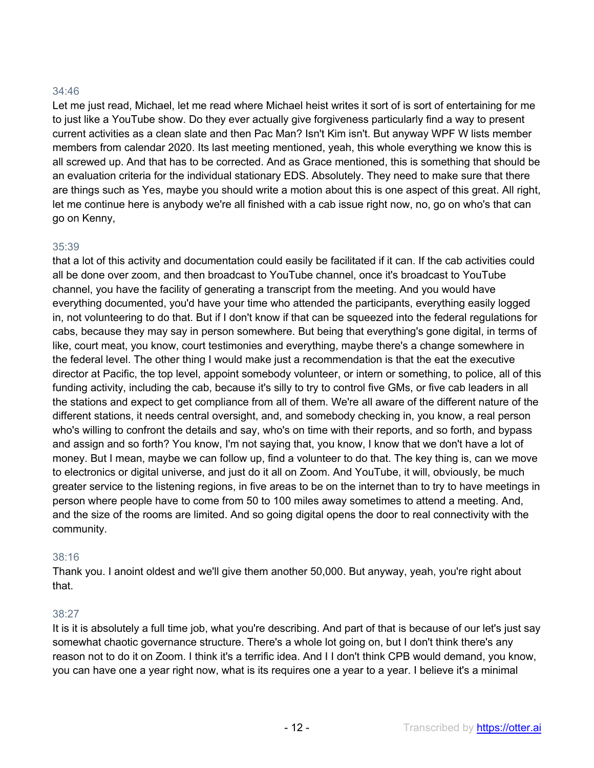## 34:46

Let me just read, Michael, let me read where Michael heist writes it sort of is sort of entertaining for me to just like a YouTube show. Do they ever actually give forgiveness particularly find a way to present current activities as a clean slate and then Pac Man? Isn't Kim isn't. But anyway WPF W lists member members from calendar 2020. Its last meeting mentioned, yeah, this whole everything we know this is all screwed up. And that has to be corrected. And as Grace mentioned, this is something that should be an evaluation criteria for the individual stationary EDS. Absolutely. They need to make sure that there are things such as Yes, maybe you should write a motion about this is one aspect of this great. All right, let me continue here is anybody we're all finished with a cab issue right now, no, go on who's that can go on Kenny,

#### 35:39

that a lot of this activity and documentation could easily be facilitated if it can. If the cab activities could all be done over zoom, and then broadcast to YouTube channel, once it's broadcast to YouTube channel, you have the facility of generating a transcript from the meeting. And you would have everything documented, you'd have your time who attended the participants, everything easily logged in, not volunteering to do that. But if I don't know if that can be squeezed into the federal regulations for cabs, because they may say in person somewhere. But being that everything's gone digital, in terms of like, court meat, you know, court testimonies and everything, maybe there's a change somewhere in the federal level. The other thing I would make just a recommendation is that the eat the executive director at Pacific, the top level, appoint somebody volunteer, or intern or something, to police, all of this funding activity, including the cab, because it's silly to try to control five GMs, or five cab leaders in all the stations and expect to get compliance from all of them. We're all aware of the different nature of the different stations, it needs central oversight, and, and somebody checking in, you know, a real person who's willing to confront the details and say, who's on time with their reports, and so forth, and bypass and assign and so forth? You know, I'm not saying that, you know, I know that we don't have a lot of money. But I mean, maybe we can follow up, find a volunteer to do that. The key thing is, can we move to electronics or digital universe, and just do it all on Zoom. And YouTube, it will, obviously, be much greater service to the listening regions, in five areas to be on the internet than to try to have meetings in person where people have to come from 50 to 100 miles away sometimes to attend a meeting. And, and the size of the rooms are limited. And so going digital opens the door to real connectivity with the community.

#### 38:16

Thank you. I anoint oldest and we'll give them another 50,000. But anyway, yeah, you're right about that.

#### 38:27

It is it is absolutely a full time job, what you're describing. And part of that is because of our let's just say somewhat chaotic governance structure. There's a whole lot going on, but I don't think there's any reason not to do it on Zoom. I think it's a terrific idea. And I I don't think CPB would demand, you know, you can have one a year right now, what is its requires one a year to a year. I believe it's a minimal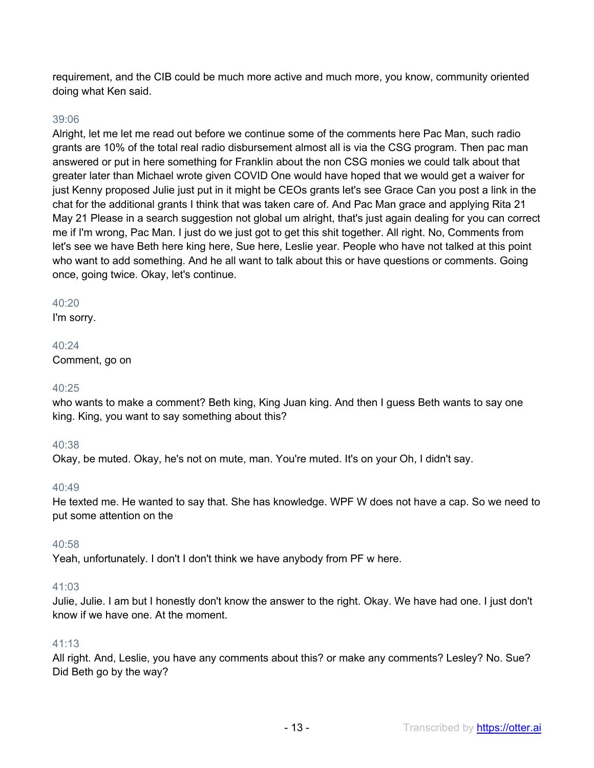requirement, and the CIB could be much more active and much more, you know, community oriented doing what Ken said.

## 39:06

Alright, let me let me read out before we continue some of the comments here Pac Man, such radio grants are 10% of the total real radio disbursement almost all is via the CSG program. Then pac man answered or put in here something for Franklin about the non CSG monies we could talk about that greater later than Michael wrote given COVID One would have hoped that we would get a waiver for just Kenny proposed Julie just put in it might be CEOs grants let's see Grace Can you post a link in the chat for the additional grants I think that was taken care of. And Pac Man grace and applying Rita 21 May 21 Please in a search suggestion not global um alright, that's just again dealing for you can correct me if I'm wrong, Pac Man. I just do we just got to get this shit together. All right. No, Comments from let's see we have Beth here king here, Sue here, Leslie year. People who have not talked at this point who want to add something. And he all want to talk about this or have questions or comments. Going once, going twice. Okay, let's continue.

#### 40:20

I'm sorry.

40:24 Comment, go on

#### 40:25

who wants to make a comment? Beth king, King Juan king. And then I guess Beth wants to say one king. King, you want to say something about this?

#### 40:38

Okay, be muted. Okay, he's not on mute, man. You're muted. It's on your Oh, I didn't say.

#### 40:49

He texted me. He wanted to say that. She has knowledge. WPF W does not have a cap. So we need to put some attention on the

#### 40:58

Yeah, unfortunately. I don't I don't think we have anybody from PF w here.

#### 41:03

Julie, Julie. I am but I honestly don't know the answer to the right. Okay. We have had one. I just don't know if we have one. At the moment.

#### 41:13

All right. And, Leslie, you have any comments about this? or make any comments? Lesley? No. Sue? Did Beth go by the way?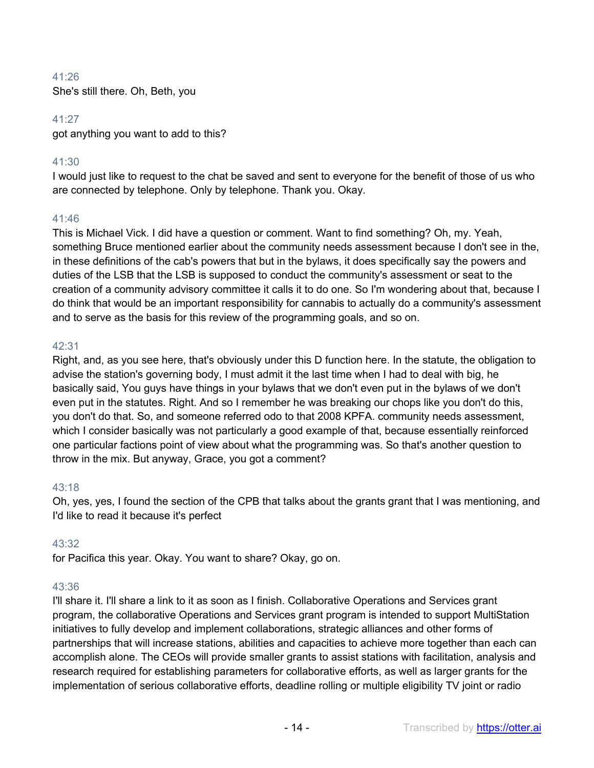# 41:26

She's still there. Oh, Beth, you

#### 41:27

got anything you want to add to this?

# 41:30

I would just like to request to the chat be saved and sent to everyone for the benefit of those of us who are connected by telephone. Only by telephone. Thank you. Okay.

# 41:46

This is Michael Vick. I did have a question or comment. Want to find something? Oh, my. Yeah, something Bruce mentioned earlier about the community needs assessment because I don't see in the, in these definitions of the cab's powers that but in the bylaws, it does specifically say the powers and duties of the LSB that the LSB is supposed to conduct the community's assessment or seat to the creation of a community advisory committee it calls it to do one. So I'm wondering about that, because I do think that would be an important responsibility for cannabis to actually do a community's assessment and to serve as the basis for this review of the programming goals, and so on.

# 42:31

Right, and, as you see here, that's obviously under this D function here. In the statute, the obligation to advise the station's governing body, I must admit it the last time when I had to deal with big, he basically said, You guys have things in your bylaws that we don't even put in the bylaws of we don't even put in the statutes. Right. And so I remember he was breaking our chops like you don't do this, you don't do that. So, and someone referred odo to that 2008 KPFA. community needs assessment, which I consider basically was not particularly a good example of that, because essentially reinforced one particular factions point of view about what the programming was. So that's another question to throw in the mix. But anyway, Grace, you got a comment?

#### 43:18

Oh, yes, yes, I found the section of the CPB that talks about the grants grant that I was mentioning, and I'd like to read it because it's perfect

# 43:32

for Pacifica this year. Okay. You want to share? Okay, go on.

#### 43:36

I'll share it. I'll share a link to it as soon as I finish. Collaborative Operations and Services grant program, the collaborative Operations and Services grant program is intended to support MultiStation initiatives to fully develop and implement collaborations, strategic alliances and other forms of partnerships that will increase stations, abilities and capacities to achieve more together than each can accomplish alone. The CEOs will provide smaller grants to assist stations with facilitation, analysis and research required for establishing parameters for collaborative efforts, as well as larger grants for the implementation of serious collaborative efforts, deadline rolling or multiple eligibility TV joint or radio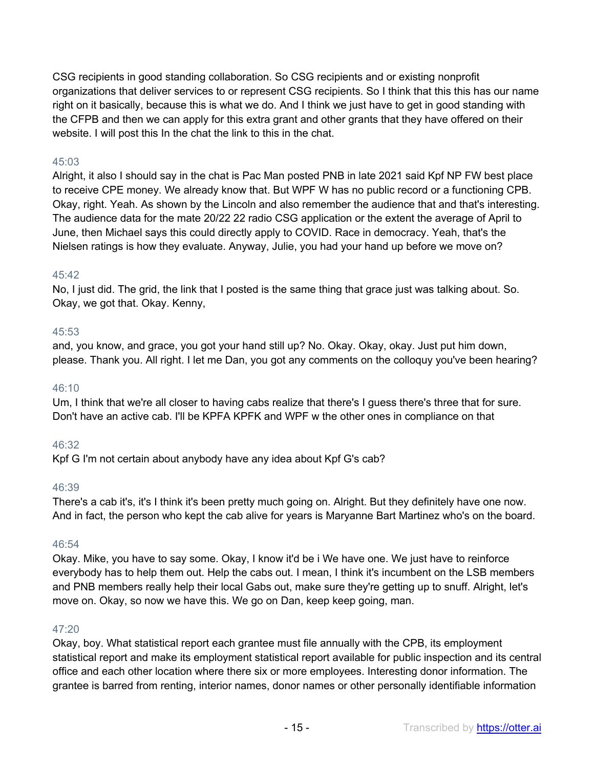CSG recipients in good standing collaboration. So CSG recipients and or existing nonprofit organizations that deliver services to or represent CSG recipients. So I think that this this has our name right on it basically, because this is what we do. And I think we just have to get in good standing with the CFPB and then we can apply for this extra grant and other grants that they have offered on their website. I will post this In the chat the link to this in the chat.

# 45:03

Alright, it also I should say in the chat is Pac Man posted PNB in late 2021 said Kpf NP FW best place to receive CPE money. We already know that. But WPF W has no public record or a functioning CPB. Okay, right. Yeah. As shown by the Lincoln and also remember the audience that and that's interesting. The audience data for the mate 20/22 22 radio CSG application or the extent the average of April to June, then Michael says this could directly apply to COVID. Race in democracy. Yeah, that's the Nielsen ratings is how they evaluate. Anyway, Julie, you had your hand up before we move on?

#### 45:42

No, I just did. The grid, the link that I posted is the same thing that grace just was talking about. So. Okay, we got that. Okay. Kenny,

#### 45:53

and, you know, and grace, you got your hand still up? No. Okay. Okay, okay. Just put him down, please. Thank you. All right. I let me Dan, you got any comments on the colloquy you've been hearing?

#### 46:10

Um, I think that we're all closer to having cabs realize that there's I guess there's three that for sure. Don't have an active cab. I'll be KPFA KPFK and WPF w the other ones in compliance on that

#### 46:32

Kpf G I'm not certain about anybody have any idea about Kpf G's cab?

#### 46:39

There's a cab it's, it's I think it's been pretty much going on. Alright. But they definitely have one now. And in fact, the person who kept the cab alive for years is Maryanne Bart Martinez who's on the board.

#### 46:54

Okay. Mike, you have to say some. Okay, I know it'd be i We have one. We just have to reinforce everybody has to help them out. Help the cabs out. I mean, I think it's incumbent on the LSB members and PNB members really help their local Gabs out, make sure they're getting up to snuff. Alright, let's move on. Okay, so now we have this. We go on Dan, keep keep going, man.

#### $47:20$

Okay, boy. What statistical report each grantee must file annually with the CPB, its employment statistical report and make its employment statistical report available for public inspection and its central office and each other location where there six or more employees. Interesting donor information. The grantee is barred from renting, interior names, donor names or other personally identifiable information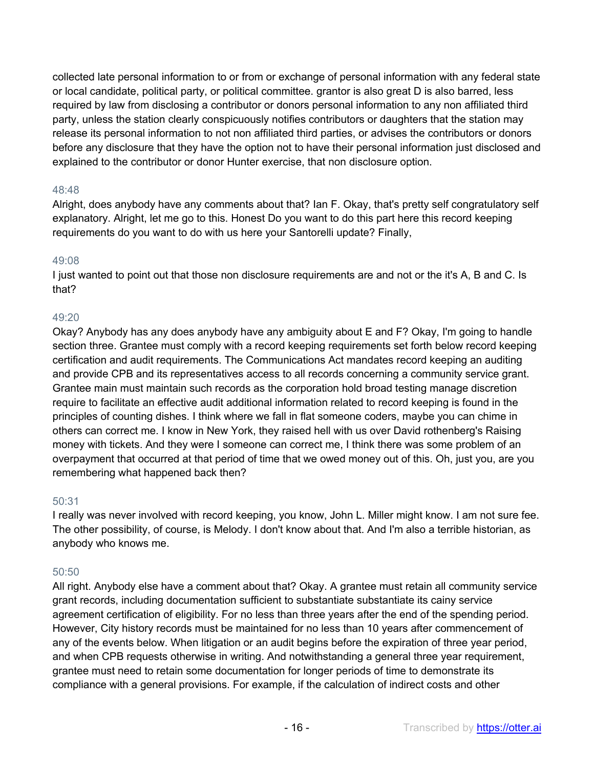collected late personal information to or from or exchange of personal information with any federal state or local candidate, political party, or political committee. grantor is also great D is also barred, less required by law from disclosing a contributor or donors personal information to any non affiliated third party, unless the station clearly conspicuously notifies contributors or daughters that the station may release its personal information to not non affiliated third parties, or advises the contributors or donors before any disclosure that they have the option not to have their personal information just disclosed and explained to the contributor or donor Hunter exercise, that non disclosure option.

# 48:48

Alright, does anybody have any comments about that? Ian F. Okay, that's pretty self congratulatory self explanatory. Alright, let me go to this. Honest Do you want to do this part here this record keeping requirements do you want to do with us here your Santorelli update? Finally,

#### 49:08

I just wanted to point out that those non disclosure requirements are and not or the it's A, B and C. Is that?

# 49:20

Okay? Anybody has any does anybody have any ambiguity about E and F? Okay, I'm going to handle section three. Grantee must comply with a record keeping requirements set forth below record keeping certification and audit requirements. The Communications Act mandates record keeping an auditing and provide CPB and its representatives access to all records concerning a community service grant. Grantee main must maintain such records as the corporation hold broad testing manage discretion require to facilitate an effective audit additional information related to record keeping is found in the principles of counting dishes. I think where we fall in flat someone coders, maybe you can chime in others can correct me. I know in New York, they raised hell with us over David rothenberg's Raising money with tickets. And they were I someone can correct me, I think there was some problem of an overpayment that occurred at that period of time that we owed money out of this. Oh, just you, are you remembering what happened back then?

#### 50:31

I really was never involved with record keeping, you know, John L. Miller might know. I am not sure fee. The other possibility, of course, is Melody. I don't know about that. And I'm also a terrible historian, as anybody who knows me.

#### 50:50

All right. Anybody else have a comment about that? Okay. A grantee must retain all community service grant records, including documentation sufficient to substantiate substantiate its cainy service agreement certification of eligibility. For no less than three years after the end of the spending period. However, City history records must be maintained for no less than 10 years after commencement of any of the events below. When litigation or an audit begins before the expiration of three year period, and when CPB requests otherwise in writing. And notwithstanding a general three year requirement, grantee must need to retain some documentation for longer periods of time to demonstrate its compliance with a general provisions. For example, if the calculation of indirect costs and other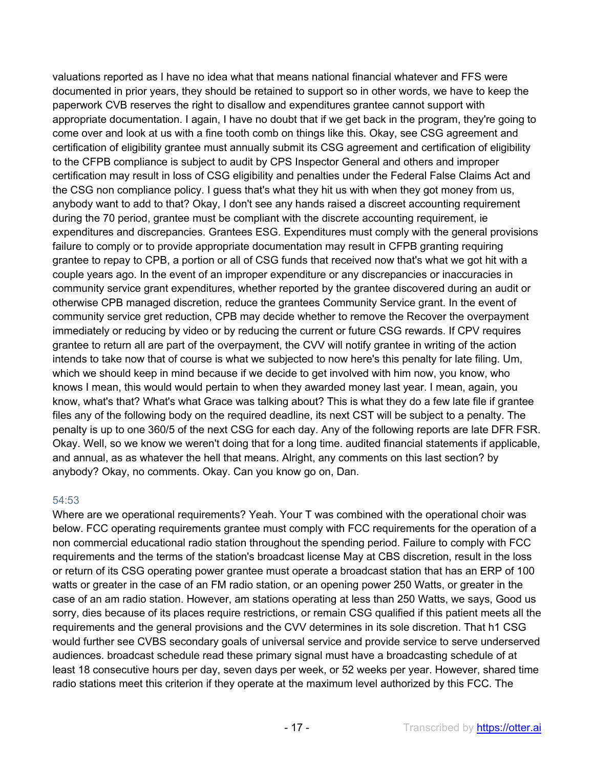valuations reported as I have no idea what that means national financial whatever and FFS were documented in prior years, they should be retained to support so in other words, we have to keep the paperwork CVB reserves the right to disallow and expenditures grantee cannot support with appropriate documentation. I again, I have no doubt that if we get back in the program, they're going to come over and look at us with a fine tooth comb on things like this. Okay, see CSG agreement and certification of eligibility grantee must annually submit its CSG agreement and certification of eligibility to the CFPB compliance is subject to audit by CPS Inspector General and others and improper certification may result in loss of CSG eligibility and penalties under the Federal False Claims Act and the CSG non compliance policy. I guess that's what they hit us with when they got money from us, anybody want to add to that? Okay, I don't see any hands raised a discreet accounting requirement during the 70 period, grantee must be compliant with the discrete accounting requirement, ie expenditures and discrepancies. Grantees ESG. Expenditures must comply with the general provisions failure to comply or to provide appropriate documentation may result in CFPB granting requiring grantee to repay to CPB, a portion or all of CSG funds that received now that's what we got hit with a couple years ago. In the event of an improper expenditure or any discrepancies or inaccuracies in community service grant expenditures, whether reported by the grantee discovered during an audit or otherwise CPB managed discretion, reduce the grantees Community Service grant. In the event of community service gret reduction, CPB may decide whether to remove the Recover the overpayment immediately or reducing by video or by reducing the current or future CSG rewards. If CPV requires grantee to return all are part of the overpayment, the CVV will notify grantee in writing of the action intends to take now that of course is what we subjected to now here's this penalty for late filing. Um, which we should keep in mind because if we decide to get involved with him now, you know, who knows I mean, this would would pertain to when they awarded money last year. I mean, again, you know, what's that? What's what Grace was talking about? This is what they do a few late file if grantee files any of the following body on the required deadline, its next CST will be subject to a penalty. The penalty is up to one 360/5 of the next CSG for each day. Any of the following reports are late DFR FSR. Okay. Well, so we know we weren't doing that for a long time. audited financial statements if applicable, and annual, as as whatever the hell that means. Alright, any comments on this last section? by anybody? Okay, no comments. Okay. Can you know go on, Dan.

#### 54:53

Where are we operational requirements? Yeah. Your T was combined with the operational choir was below. FCC operating requirements grantee must comply with FCC requirements for the operation of a non commercial educational radio station throughout the spending period. Failure to comply with FCC requirements and the terms of the station's broadcast license May at CBS discretion, result in the loss or return of its CSG operating power grantee must operate a broadcast station that has an ERP of 100 watts or greater in the case of an FM radio station, or an opening power 250 Watts, or greater in the case of an am radio station. However, am stations operating at less than 250 Watts, we says, Good us sorry, dies because of its places require restrictions, or remain CSG qualified if this patient meets all the requirements and the general provisions and the CVV determines in its sole discretion. That h1 CSG would further see CVBS secondary goals of universal service and provide service to serve underserved audiences. broadcast schedule read these primary signal must have a broadcasting schedule of at least 18 consecutive hours per day, seven days per week, or 52 weeks per year. However, shared time radio stations meet this criterion if they operate at the maximum level authorized by this FCC. The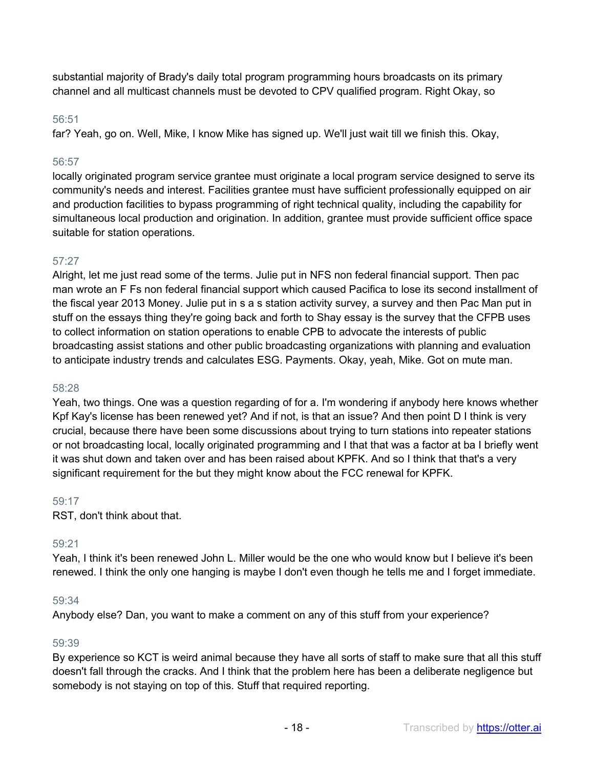substantial majority of Brady's daily total program programming hours broadcasts on its primary channel and all multicast channels must be devoted to CPV qualified program. Right Okay, so

## 56:51

far? Yeah, go on. Well, Mike, I know Mike has signed up. We'll just wait till we finish this. Okay,

# 56:57

locally originated program service grantee must originate a local program service designed to serve its community's needs and interest. Facilities grantee must have sufficient professionally equipped on air and production facilities to bypass programming of right technical quality, including the capability for simultaneous local production and origination. In addition, grantee must provide sufficient office space suitable for station operations.

# 57:27

Alright, let me just read some of the terms. Julie put in NFS non federal financial support. Then pac man wrote an F Fs non federal financial support which caused Pacifica to lose its second installment of the fiscal year 2013 Money. Julie put in s a s station activity survey, a survey and then Pac Man put in stuff on the essays thing they're going back and forth to Shay essay is the survey that the CFPB uses to collect information on station operations to enable CPB to advocate the interests of public broadcasting assist stations and other public broadcasting organizations with planning and evaluation to anticipate industry trends and calculates ESG. Payments. Okay, yeah, Mike. Got on mute man.

#### 58:28

Yeah, two things. One was a question regarding of for a. I'm wondering if anybody here knows whether Kpf Kay's license has been renewed yet? And if not, is that an issue? And then point D I think is very crucial, because there have been some discussions about trying to turn stations into repeater stations or not broadcasting local, locally originated programming and I that that was a factor at ba I briefly went it was shut down and taken over and has been raised about KPFK. And so I think that that's a very significant requirement for the but they might know about the FCC renewal for KPFK.

#### 59:17

RST, don't think about that.

#### 59:21

Yeah, I think it's been renewed John L. Miller would be the one who would know but I believe it's been renewed. I think the only one hanging is maybe I don't even though he tells me and I forget immediate.

#### 59:34

Anybody else? Dan, you want to make a comment on any of this stuff from your experience?

#### 59:39

By experience so KCT is weird animal because they have all sorts of staff to make sure that all this stuff doesn't fall through the cracks. And I think that the problem here has been a deliberate negligence but somebody is not staying on top of this. Stuff that required reporting.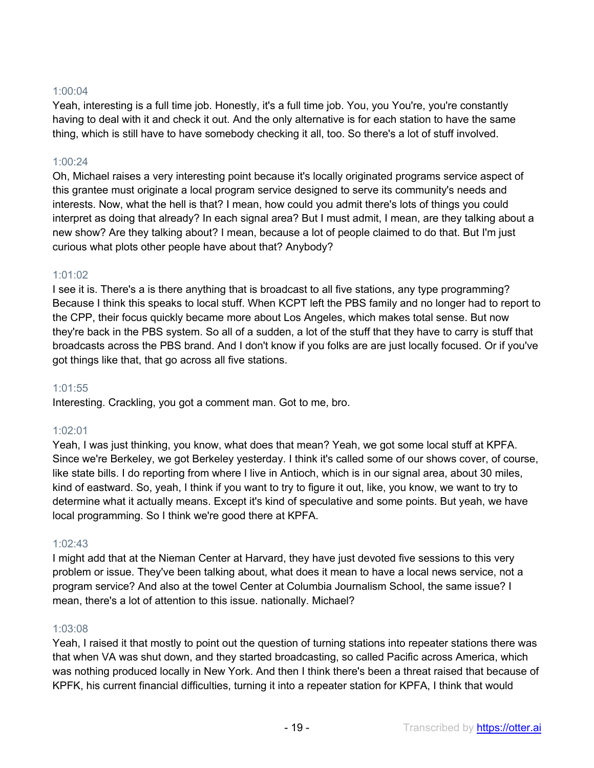## 1:00:04

Yeah, interesting is a full time job. Honestly, it's a full time job. You, you You're, you're constantly having to deal with it and check it out. And the only alternative is for each station to have the same thing, which is still have to have somebody checking it all, too. So there's a lot of stuff involved.

# 1:00:24

Oh, Michael raises a very interesting point because it's locally originated programs service aspect of this grantee must originate a local program service designed to serve its community's needs and interests. Now, what the hell is that? I mean, how could you admit there's lots of things you could interpret as doing that already? In each signal area? But I must admit, I mean, are they talking about a new show? Are they talking about? I mean, because a lot of people claimed to do that. But I'm just curious what plots other people have about that? Anybody?

#### 1:01:02

I see it is. There's a is there anything that is broadcast to all five stations, any type programming? Because I think this speaks to local stuff. When KCPT left the PBS family and no longer had to report to the CPP, their focus quickly became more about Los Angeles, which makes total sense. But now they're back in the PBS system. So all of a sudden, a lot of the stuff that they have to carry is stuff that broadcasts across the PBS brand. And I don't know if you folks are are just locally focused. Or if you've got things like that, that go across all five stations.

#### 1:01:55

Interesting. Crackling, you got a comment man. Got to me, bro.

# 1:02:01

Yeah, I was just thinking, you know, what does that mean? Yeah, we got some local stuff at KPFA. Since we're Berkeley, we got Berkeley yesterday. I think it's called some of our shows cover, of course, like state bills. I do reporting from where I live in Antioch, which is in our signal area, about 30 miles, kind of eastward. So, yeah, I think if you want to try to figure it out, like, you know, we want to try to determine what it actually means. Except it's kind of speculative and some points. But yeah, we have local programming. So I think we're good there at KPFA.

# 1:02:43

I might add that at the Nieman Center at Harvard, they have just devoted five sessions to this very problem or issue. They've been talking about, what does it mean to have a local news service, not a program service? And also at the towel Center at Columbia Journalism School, the same issue? I mean, there's a lot of attention to this issue. nationally. Michael?

#### 1:03:08

Yeah, I raised it that mostly to point out the question of turning stations into repeater stations there was that when VA was shut down, and they started broadcasting, so called Pacific across America, which was nothing produced locally in New York. And then I think there's been a threat raised that because of KPFK, his current financial difficulties, turning it into a repeater station for KPFA, I think that would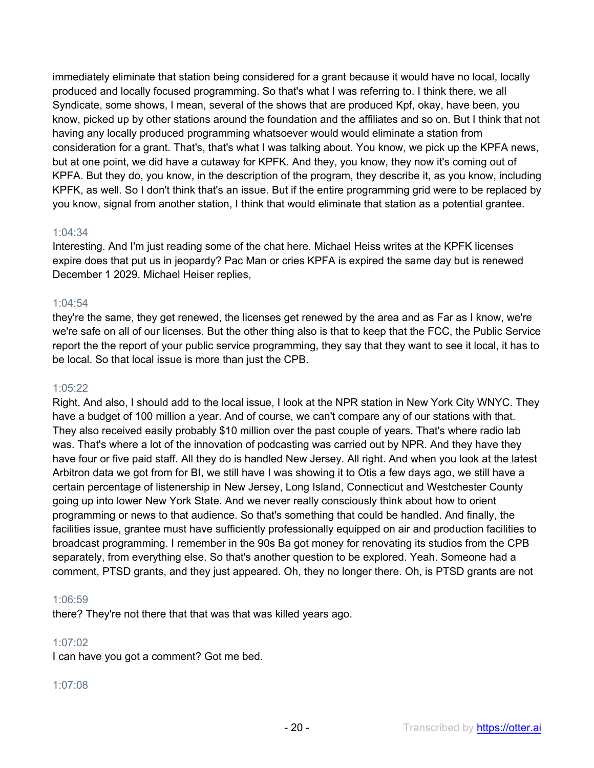immediately eliminate that station being considered for a grant because it would have no local, locally produced and locally focused programming. So that's what I was referring to. I think there, we all Syndicate, some shows, I mean, several of the shows that are produced Kpf, okay, have been, you know, picked up by other stations around the foundation and the affiliates and so on. But I think that not having any locally produced programming whatsoever would would eliminate a station from consideration for a grant. That's, that's what I was talking about. You know, we pick up the KPFA news, but at one point, we did have a cutaway for KPFK. And they, you know, they now it's coming out of KPFA. But they do, you know, in the description of the program, they describe it, as you know, including KPFK, as well. So I don't think that's an issue. But if the entire programming grid were to be replaced by you know, signal from another station, I think that would eliminate that station as a potential grantee.

#### 1:04:34

Interesting. And I'm just reading some of the chat here. Michael Heiss writes at the KPFK licenses expire does that put us in jeopardy? Pac Man or cries KPFA is expired the same day but is renewed December 1 2029. Michael Heiser replies,

# 1:04:54

they're the same, they get renewed, the licenses get renewed by the area and as Far as I know, we're we're safe on all of our licenses. But the other thing also is that to keep that the FCC, the Public Service report the the report of your public service programming, they say that they want to see it local, it has to be local. So that local issue is more than just the CPB.

#### 1:05:22

Right. And also, I should add to the local issue, I look at the NPR station in New York City WNYC. They have a budget of 100 million a year. And of course, we can't compare any of our stations with that. They also received easily probably \$10 million over the past couple of years. That's where radio lab was. That's where a lot of the innovation of podcasting was carried out by NPR. And they have they have four or five paid staff. All they do is handled New Jersey. All right. And when you look at the latest Arbitron data we got from for BI, we still have I was showing it to Otis a few days ago, we still have a certain percentage of listenership in New Jersey, Long Island, Connecticut and Westchester County going up into lower New York State. And we never really consciously think about how to orient programming or news to that audience. So that's something that could be handled. And finally, the facilities issue, grantee must have sufficiently professionally equipped on air and production facilities to broadcast programming. I remember in the 90s Ba got money for renovating its studios from the CPB separately, from everything else. So that's another question to be explored. Yeah. Someone had a comment, PTSD grants, and they just appeared. Oh, they no longer there. Oh, is PTSD grants are not

#### 1:06:59

there? They're not there that that was that was killed years ago.

#### 1:07:02

I can have you got a comment? Got me bed.

#### 1:07:08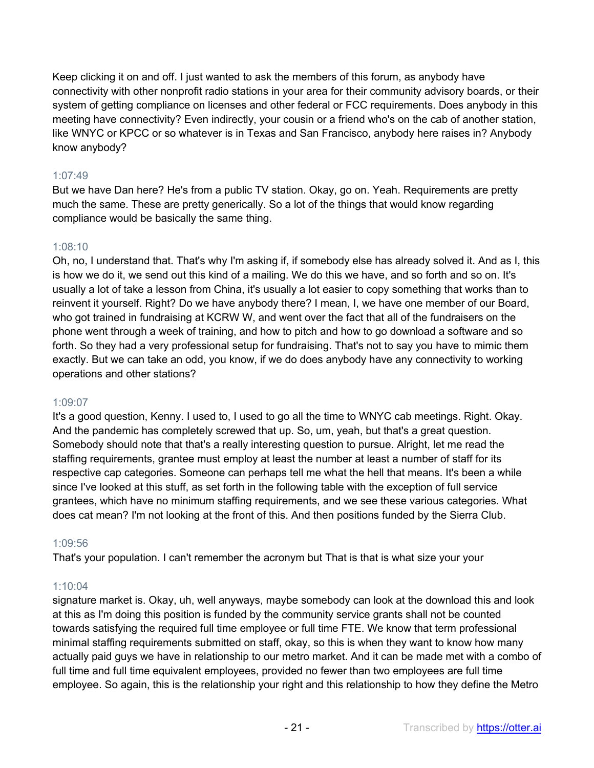Keep clicking it on and off. I just wanted to ask the members of this forum, as anybody have connectivity with other nonprofit radio stations in your area for their community advisory boards, or their system of getting compliance on licenses and other federal or FCC requirements. Does anybody in this meeting have connectivity? Even indirectly, your cousin or a friend who's on the cab of another station, like WNYC or KPCC or so whatever is in Texas and San Francisco, anybody here raises in? Anybody know anybody?

# 1:07:49

But we have Dan here? He's from a public TV station. Okay, go on. Yeah. Requirements are pretty much the same. These are pretty generically. So a lot of the things that would know regarding compliance would be basically the same thing.

# 1:08:10

Oh, no, I understand that. That's why I'm asking if, if somebody else has already solved it. And as I, this is how we do it, we send out this kind of a mailing. We do this we have, and so forth and so on. It's usually a lot of take a lesson from China, it's usually a lot easier to copy something that works than to reinvent it yourself. Right? Do we have anybody there? I mean, I, we have one member of our Board, who got trained in fundraising at KCRW W, and went over the fact that all of the fundraisers on the phone went through a week of training, and how to pitch and how to go download a software and so forth. So they had a very professional setup for fundraising. That's not to say you have to mimic them exactly. But we can take an odd, you know, if we do does anybody have any connectivity to working operations and other stations?

# 1:09:07

It's a good question, Kenny. I used to, I used to go all the time to WNYC cab meetings. Right. Okay. And the pandemic has completely screwed that up. So, um, yeah, but that's a great question. Somebody should note that that's a really interesting question to pursue. Alright, let me read the staffing requirements, grantee must employ at least the number at least a number of staff for its respective cap categories. Someone can perhaps tell me what the hell that means. It's been a while since I've looked at this stuff, as set forth in the following table with the exception of full service grantees, which have no minimum staffing requirements, and we see these various categories. What does cat mean? I'm not looking at the front of this. And then positions funded by the Sierra Club.

# 1:09:56

That's your population. I can't remember the acronym but That is that is what size your your

# 1:10:04

signature market is. Okay, uh, well anyways, maybe somebody can look at the download this and look at this as I'm doing this position is funded by the community service grants shall not be counted towards satisfying the required full time employee or full time FTE. We know that term professional minimal staffing requirements submitted on staff, okay, so this is when they want to know how many actually paid guys we have in relationship to our metro market. And it can be made met with a combo of full time and full time equivalent employees, provided no fewer than two employees are full time employee. So again, this is the relationship your right and this relationship to how they define the Metro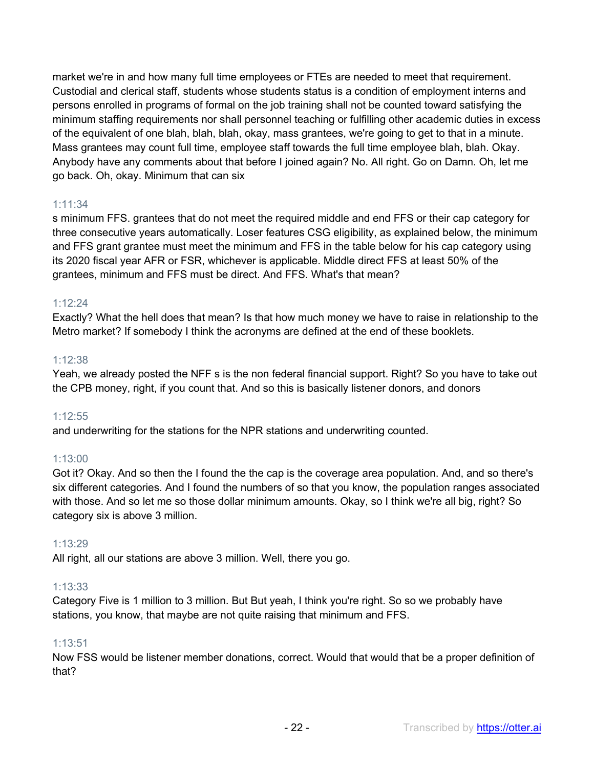market we're in and how many full time employees or FTEs are needed to meet that requirement. Custodial and clerical staff, students whose students status is a condition of employment interns and persons enrolled in programs of formal on the job training shall not be counted toward satisfying the minimum staffing requirements nor shall personnel teaching or fulfilling other academic duties in excess of the equivalent of one blah, blah, blah, okay, mass grantees, we're going to get to that in a minute. Mass grantees may count full time, employee staff towards the full time employee blah, blah. Okay. Anybody have any comments about that before I joined again? No. All right. Go on Damn. Oh, let me go back. Oh, okay. Minimum that can six

# 1:11:34

s minimum FFS. grantees that do not meet the required middle and end FFS or their cap category for three consecutive years automatically. Loser features CSG eligibility, as explained below, the minimum and FFS grant grantee must meet the minimum and FFS in the table below for his cap category using its 2020 fiscal year AFR or FSR, whichever is applicable. Middle direct FFS at least 50% of the grantees, minimum and FFS must be direct. And FFS. What's that mean?

# 1:12:24

Exactly? What the hell does that mean? Is that how much money we have to raise in relationship to the Metro market? If somebody I think the acronyms are defined at the end of these booklets.

# 1:12:38

Yeah, we already posted the NFF s is the non federal financial support. Right? So you have to take out the CPB money, right, if you count that. And so this is basically listener donors, and donors

#### 1:12:55

and underwriting for the stations for the NPR stations and underwriting counted.

# 1:13:00

Got it? Okay. And so then the I found the the cap is the coverage area population. And, and so there's six different categories. And I found the numbers of so that you know, the population ranges associated with those. And so let me so those dollar minimum amounts. Okay, so I think we're all big, right? So category six is above 3 million.

# 1:13:29

All right, all our stations are above 3 million. Well, there you go.

#### 1:13:33

Category Five is 1 million to 3 million. But But yeah, I think you're right. So so we probably have stations, you know, that maybe are not quite raising that minimum and FFS.

#### 1:13:51

Now FSS would be listener member donations, correct. Would that would that be a proper definition of that?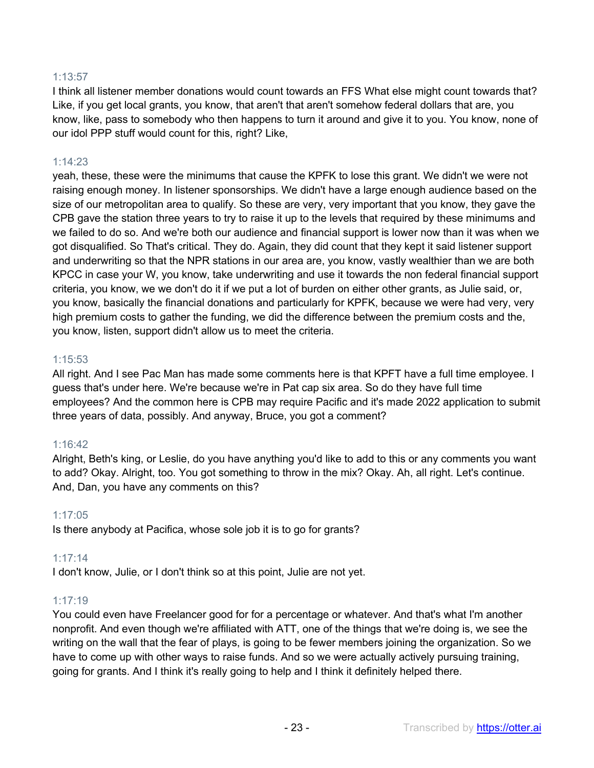# 1:13:57

I think all listener member donations would count towards an FFS What else might count towards that? Like, if you get local grants, you know, that aren't that aren't somehow federal dollars that are, you know, like, pass to somebody who then happens to turn it around and give it to you. You know, none of our idol PPP stuff would count for this, right? Like,

# 1:14:23

yeah, these, these were the minimums that cause the KPFK to lose this grant. We didn't we were not raising enough money. In listener sponsorships. We didn't have a large enough audience based on the size of our metropolitan area to qualify. So these are very, very important that you know, they gave the CPB gave the station three years to try to raise it up to the levels that required by these minimums and we failed to do so. And we're both our audience and financial support is lower now than it was when we got disqualified. So That's critical. They do. Again, they did count that they kept it said listener support and underwriting so that the NPR stations in our area are, you know, vastly wealthier than we are both KPCC in case your W, you know, take underwriting and use it towards the non federal financial support criteria, you know, we we don't do it if we put a lot of burden on either other grants, as Julie said, or, you know, basically the financial donations and particularly for KPFK, because we were had very, very high premium costs to gather the funding, we did the difference between the premium costs and the, you know, listen, support didn't allow us to meet the criteria.

#### 1:15:53

All right. And I see Pac Man has made some comments here is that KPFT have a full time employee. I guess that's under here. We're because we're in Pat cap six area. So do they have full time employees? And the common here is CPB may require Pacific and it's made 2022 application to submit three years of data, possibly. And anyway, Bruce, you got a comment?

#### 1:16:42

Alright, Beth's king, or Leslie, do you have anything you'd like to add to this or any comments you want to add? Okay. Alright, too. You got something to throw in the mix? Okay. Ah, all right. Let's continue. And, Dan, you have any comments on this?

#### 1:17:05

Is there anybody at Pacifica, whose sole job it is to go for grants?

#### 1:17:14

I don't know, Julie, or I don't think so at this point, Julie are not yet.

#### 1:17:19

You could even have Freelancer good for for a percentage or whatever. And that's what I'm another nonprofit. And even though we're affiliated with ATT, one of the things that we're doing is, we see the writing on the wall that the fear of plays, is going to be fewer members joining the organization. So we have to come up with other ways to raise funds. And so we were actually actively pursuing training, going for grants. And I think it's really going to help and I think it definitely helped there.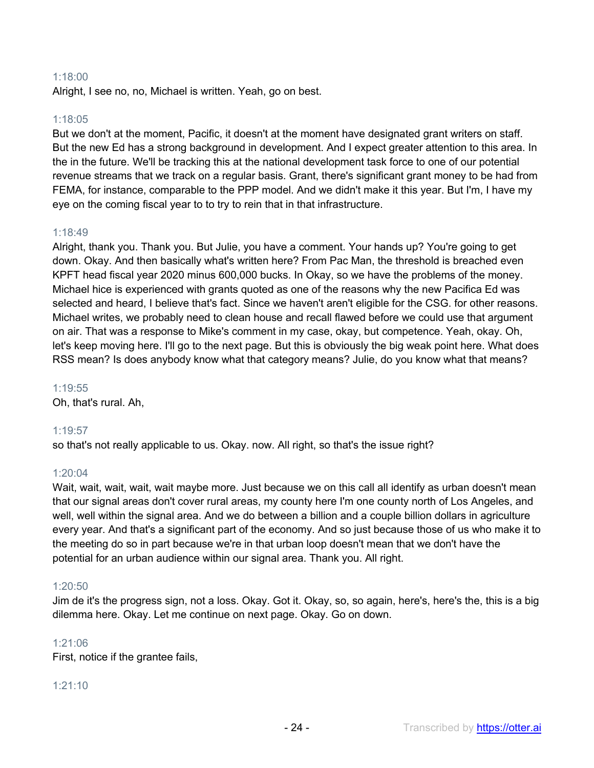#### 1:18:00

Alright, I see no, no, Michael is written. Yeah, go on best.

## 1:18:05

But we don't at the moment, Pacific, it doesn't at the moment have designated grant writers on staff. But the new Ed has a strong background in development. And I expect greater attention to this area. In the in the future. We'll be tracking this at the national development task force to one of our potential revenue streams that we track on a regular basis. Grant, there's significant grant money to be had from FEMA, for instance, comparable to the PPP model. And we didn't make it this year. But I'm, I have my eye on the coming fiscal year to to try to rein that in that infrastructure.

# 1:18:49

Alright, thank you. Thank you. But Julie, you have a comment. Your hands up? You're going to get down. Okay. And then basically what's written here? From Pac Man, the threshold is breached even KPFT head fiscal year 2020 minus 600,000 bucks. In Okay, so we have the problems of the money. Michael hice is experienced with grants quoted as one of the reasons why the new Pacifica Ed was selected and heard, I believe that's fact. Since we haven't aren't eligible for the CSG. for other reasons. Michael writes, we probably need to clean house and recall flawed before we could use that argument on air. That was a response to Mike's comment in my case, okay, but competence. Yeah, okay. Oh, let's keep moving here. I'll go to the next page. But this is obviously the big weak point here. What does RSS mean? Is does anybody know what that category means? Julie, do you know what that means?

#### 1:19:55

Oh, that's rural. Ah,

#### 1:19:57

so that's not really applicable to us. Okay. now. All right, so that's the issue right?

#### 1:20:04

Wait, wait, wait, wait, wait maybe more. Just because we on this call all identify as urban doesn't mean that our signal areas don't cover rural areas, my county here I'm one county north of Los Angeles, and well, well within the signal area. And we do between a billion and a couple billion dollars in agriculture every year. And that's a significant part of the economy. And so just because those of us who make it to the meeting do so in part because we're in that urban loop doesn't mean that we don't have the potential for an urban audience within our signal area. Thank you. All right.

#### 1:20:50

Jim de it's the progress sign, not a loss. Okay. Got it. Okay, so, so again, here's, here's the, this is a big dilemma here. Okay. Let me continue on next page. Okay. Go on down.

#### 1:21:06

First, notice if the grantee fails,

#### 1:21:10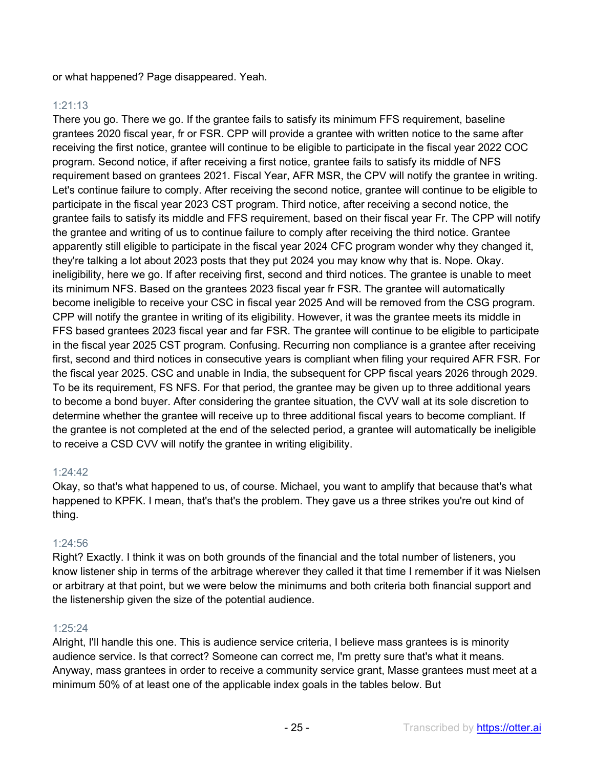or what happened? Page disappeared. Yeah.

# 1:21:13

There you go. There we go. If the grantee fails to satisfy its minimum FFS requirement, baseline grantees 2020 fiscal year, fr or FSR. CPP will provide a grantee with written notice to the same after receiving the first notice, grantee will continue to be eligible to participate in the fiscal year 2022 COC program. Second notice, if after receiving a first notice, grantee fails to satisfy its middle of NFS requirement based on grantees 2021. Fiscal Year, AFR MSR, the CPV will notify the grantee in writing. Let's continue failure to comply. After receiving the second notice, grantee will continue to be eligible to participate in the fiscal year 2023 CST program. Third notice, after receiving a second notice, the grantee fails to satisfy its middle and FFS requirement, based on their fiscal year Fr. The CPP will notify the grantee and writing of us to continue failure to comply after receiving the third notice. Grantee apparently still eligible to participate in the fiscal year 2024 CFC program wonder why they changed it, they're talking a lot about 2023 posts that they put 2024 you may know why that is. Nope. Okay. ineligibility, here we go. If after receiving first, second and third notices. The grantee is unable to meet its minimum NFS. Based on the grantees 2023 fiscal year fr FSR. The grantee will automatically become ineligible to receive your CSC in fiscal year 2025 And will be removed from the CSG program. CPP will notify the grantee in writing of its eligibility. However, it was the grantee meets its middle in FFS based grantees 2023 fiscal year and far FSR. The grantee will continue to be eligible to participate in the fiscal year 2025 CST program. Confusing. Recurring non compliance is a grantee after receiving first, second and third notices in consecutive years is compliant when filing your required AFR FSR. For the fiscal year 2025. CSC and unable in India, the subsequent for CPP fiscal years 2026 through 2029. To be its requirement, FS NFS. For that period, the grantee may be given up to three additional years to become a bond buyer. After considering the grantee situation, the CVV wall at its sole discretion to determine whether the grantee will receive up to three additional fiscal years to become compliant. If the grantee is not completed at the end of the selected period, a grantee will automatically be ineligible to receive a CSD CVV will notify the grantee in writing eligibility.

# 1:24:42

Okay, so that's what happened to us, of course. Michael, you want to amplify that because that's what happened to KPFK. I mean, that's that's the problem. They gave us a three strikes you're out kind of thing.

# 1:24:56

Right? Exactly. I think it was on both grounds of the financial and the total number of listeners, you know listener ship in terms of the arbitrage wherever they called it that time I remember if it was Nielsen or arbitrary at that point, but we were below the minimums and both criteria both financial support and the listenership given the size of the potential audience.

# 1:25:24

Alright, I'll handle this one. This is audience service criteria, I believe mass grantees is is minority audience service. Is that correct? Someone can correct me, I'm pretty sure that's what it means. Anyway, mass grantees in order to receive a community service grant, Masse grantees must meet at a minimum 50% of at least one of the applicable index goals in the tables below. But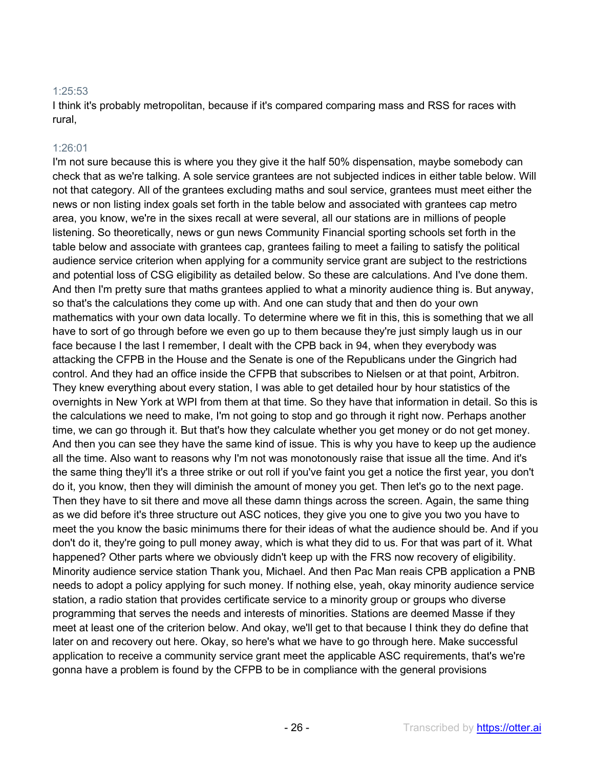#### 1:25:53

I think it's probably metropolitan, because if it's compared comparing mass and RSS for races with rural,

#### 1:26:01

I'm not sure because this is where you they give it the half 50% dispensation, maybe somebody can check that as we're talking. A sole service grantees are not subjected indices in either table below. Will not that category. All of the grantees excluding maths and soul service, grantees must meet either the news or non listing index goals set forth in the table below and associated with grantees cap metro area, you know, we're in the sixes recall at were several, all our stations are in millions of people listening. So theoretically, news or gun news Community Financial sporting schools set forth in the table below and associate with grantees cap, grantees failing to meet a failing to satisfy the political audience service criterion when applying for a community service grant are subject to the restrictions and potential loss of CSG eligibility as detailed below. So these are calculations. And I've done them. And then I'm pretty sure that maths grantees applied to what a minority audience thing is. But anyway, so that's the calculations they come up with. And one can study that and then do your own mathematics with your own data locally. To determine where we fit in this, this is something that we all have to sort of go through before we even go up to them because they're just simply laugh us in our face because I the last I remember, I dealt with the CPB back in 94, when they everybody was attacking the CFPB in the House and the Senate is one of the Republicans under the Gingrich had control. And they had an office inside the CFPB that subscribes to Nielsen or at that point, Arbitron. They knew everything about every station, I was able to get detailed hour by hour statistics of the overnights in New York at WPI from them at that time. So they have that information in detail. So this is the calculations we need to make, I'm not going to stop and go through it right now. Perhaps another time, we can go through it. But that's how they calculate whether you get money or do not get money. And then you can see they have the same kind of issue. This is why you have to keep up the audience all the time. Also want to reasons why I'm not was monotonously raise that issue all the time. And it's the same thing they'll it's a three strike or out roll if you've faint you get a notice the first year, you don't do it, you know, then they will diminish the amount of money you get. Then let's go to the next page. Then they have to sit there and move all these damn things across the screen. Again, the same thing as we did before it's three structure out ASC notices, they give you one to give you two you have to meet the you know the basic minimums there for their ideas of what the audience should be. And if you don't do it, they're going to pull money away, which is what they did to us. For that was part of it. What happened? Other parts where we obviously didn't keep up with the FRS now recovery of eligibility. Minority audience service station Thank you, Michael. And then Pac Man reais CPB application a PNB needs to adopt a policy applying for such money. If nothing else, yeah, okay minority audience service station, a radio station that provides certificate service to a minority group or groups who diverse programming that serves the needs and interests of minorities. Stations are deemed Masse if they meet at least one of the criterion below. And okay, we'll get to that because I think they do define that later on and recovery out here. Okay, so here's what we have to go through here. Make successful application to receive a community service grant meet the applicable ASC requirements, that's we're gonna have a problem is found by the CFPB to be in compliance with the general provisions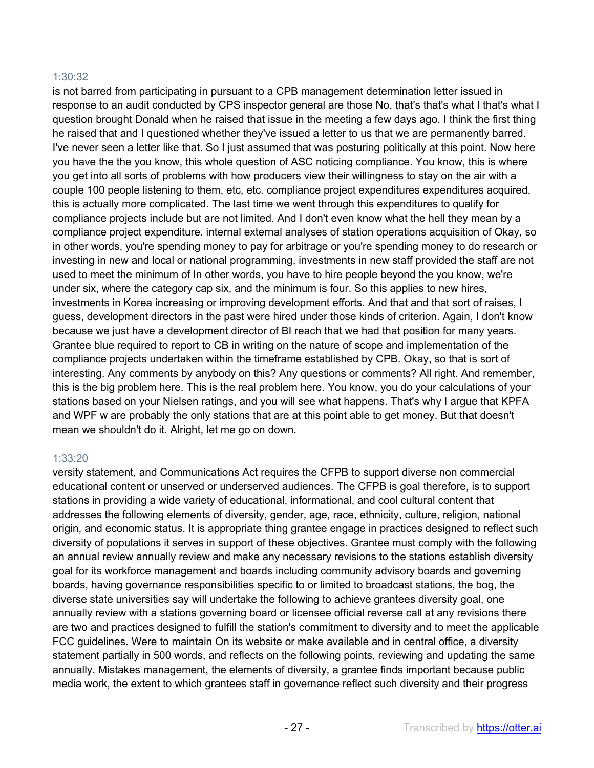#### 1:30:32

is not barred from participating in pursuant to a CPB management determination letter issued in response to an audit conducted by CPS inspector general are those No, that's that's what I that's what I question brought Donald when he raised that issue in the meeting a few days ago. I think the first thing he raised that and I questioned whether they've issued a letter to us that we are permanently barred. I've never seen a letter like that. So I just assumed that was posturing politically at this point. Now here you have the the you know, this whole question of ASC noticing compliance. You know, this is where you get into all sorts of problems with how producers view their willingness to stay on the air with a couple 100 people listening to them, etc, etc. compliance project expenditures expenditures acquired, this is actually more complicated. The last time we went through this expenditures to qualify for compliance projects include but are not limited. And I don't even know what the hell they mean by a compliance project expenditure. internal external analyses of station operations acquisition of Okay, so in other words, you're spending money to pay for arbitrage or you're spending money to do research or investing in new and local or national programming. investments in new staff provided the staff are not used to meet the minimum of In other words, you have to hire people beyond the you know, we're under six, where the category cap six, and the minimum is four. So this applies to new hires, investments in Korea increasing or improving development efforts. And that and that sort of raises, I guess, development directors in the past were hired under those kinds of criterion. Again, I don't know because we just have a development director of BI reach that we had that position for many years. Grantee blue required to report to CB in writing on the nature of scope and implementation of the compliance projects undertaken within the timeframe established by CPB. Okay, so that is sort of interesting. Any comments by anybody on this? Any questions or comments? All right. And remember, this is the big problem here. This is the real problem here. You know, you do your calculations of your stations based on your Nielsen ratings, and you will see what happens. That's why I argue that KPFA and WPF w are probably the only stations that are at this point able to get money. But that doesn't mean we shouldn't do it. Alright, let me go on down.

#### 1:33:20

versity statement, and Communications Act requires the CFPB to support diverse non commercial educational content or unserved or underserved audiences. The CFPB is goal therefore, is to support stations in providing a wide variety of educational, informational, and cool cultural content that addresses the following elements of diversity, gender, age, race, ethnicity, culture, religion, national origin, and economic status. It is appropriate thing grantee engage in practices designed to reflect such diversity of populations it serves in support of these objectives. Grantee must comply with the following an annual review annually review and make any necessary revisions to the stations establish diversity goal for its workforce management and boards including community advisory boards and governing boards, having governance responsibilities specific to or limited to broadcast stations, the bog, the diverse state universities say will undertake the following to achieve grantees diversity goal, one annually review with a stations governing board or licensee official reverse call at any revisions there are two and practices designed to fulfill the station's commitment to diversity and to meet the applicable FCC guidelines. Were to maintain On its website or make available and in central office, a diversity statement partially in 500 words, and reflects on the following points, reviewing and updating the same annually. Mistakes management, the elements of diversity, a grantee finds important because public media work, the extent to which grantees staff in governance reflect such diversity and their progress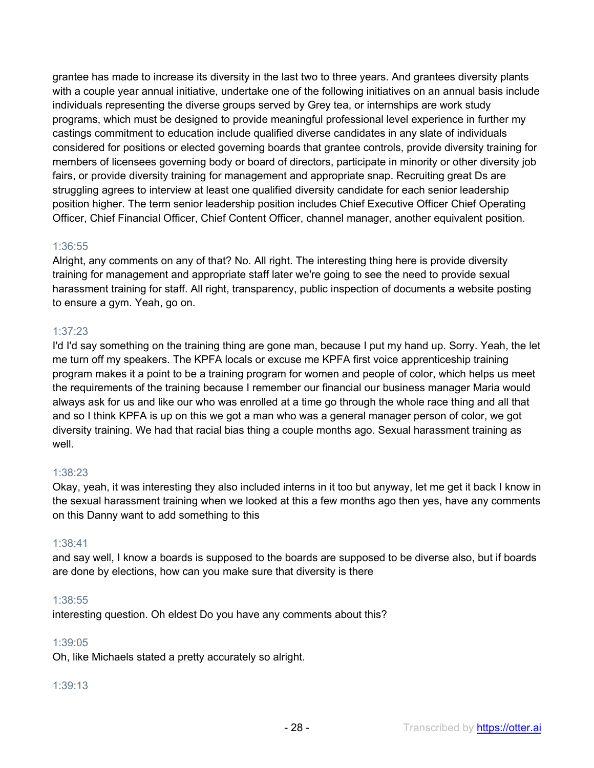grantee has made to increase its diversity in the last two to three years. And grantees diversity plants with a couple year annual initiative, undertake one of the following initiatives on an annual basis include individuals representing the diverse groups served by Grey tea, or internships are work study programs, which must be designed to provide meaningful professional level experience in further my castings commitment to education include qualified diverse candidates in any slate of individuals considered for positions or elected governing boards that grantee controls, provide diversity training for members of licensees governing body or board of directors, participate in minority or other diversity job fairs, or provide diversity training for management and appropriate snap. Recruiting great Ds are struggling agrees to interview at least one qualified diversity candidate for each senior leadership position higher. The term senior leadership position includes Chief Executive Officer Chief Operating Officer, Chief Financial Officer, Chief Content Officer, channel manager, another equivalent position.

#### 1:36:55

Alright, any comments on any of that? No. All right. The interesting thing here is provide diversity training for management and appropriate staff later we're going to see the need to provide sexual harassment training for staff. All right, transparency, public inspection of documents a website posting to ensure a gym. Yeah, go on.

#### 1:37:23

I'd I'd say something on the training thing are gone man, because I put my hand up. Sorry. Yeah, the let me turn off my speakers. The KPFA locals or excuse me KPFA first voice apprenticeship training program makes it a point to be a training program for women and people of color, which helps us meet the requirements of the training because I remember our financial our business manager Maria would always ask for us and like our who was enrolled at a time go through the whole race thing and all that and so I think KPFA is up on this we got a man who was a general manager person of color, we got diversity training. We had that racial bias thing a couple months ago. Sexual harassment training as well.

#### 1:38:23

Okay, yeah, it was interesting they also included interns in it too but anyway, let me get it back I know in the sexual harassment training when we looked at this a few months ago then yes, have any comments on this Danny want to add something to this

#### 1:38:41

and say well, I know a boards is supposed to the boards are supposed to be diverse also, but if boards are done by elections, how can you make sure that diversity is there

#### 1:38:55

interesting question. Oh eldest Do you have any comments about this?

#### 1:39:05

Oh, like Michaels stated a pretty accurately so alright.

#### 1:39:13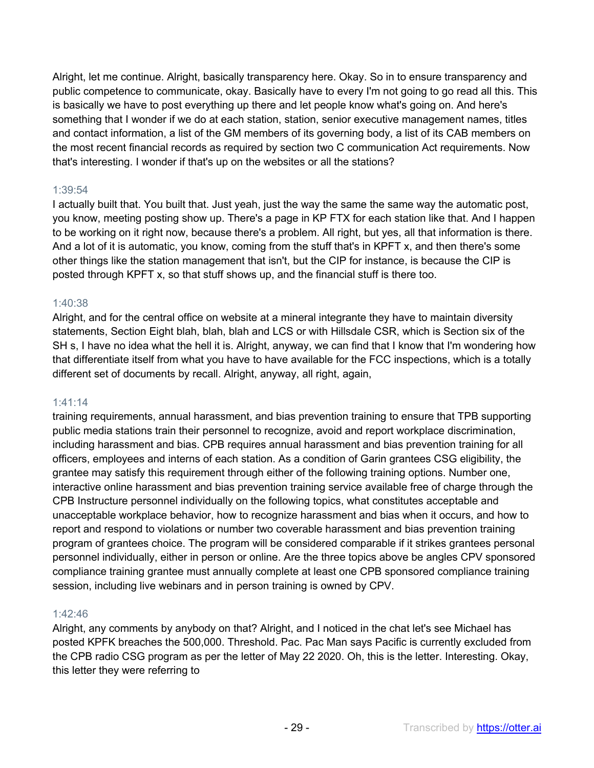Alright, let me continue. Alright, basically transparency here. Okay. So in to ensure transparency and public competence to communicate, okay. Basically have to every I'm not going to go read all this. This is basically we have to post everything up there and let people know what's going on. And here's something that I wonder if we do at each station, station, senior executive management names, titles and contact information, a list of the GM members of its governing body, a list of its CAB members on the most recent financial records as required by section two C communication Act requirements. Now that's interesting. I wonder if that's up on the websites or all the stations?

# 1:39:54

I actually built that. You built that. Just yeah, just the way the same the same way the automatic post, you know, meeting posting show up. There's a page in KP FTX for each station like that. And I happen to be working on it right now, because there's a problem. All right, but yes, all that information is there. And a lot of it is automatic, you know, coming from the stuff that's in KPFT x, and then there's some other things like the station management that isn't, but the CIP for instance, is because the CIP is posted through KPFT x, so that stuff shows up, and the financial stuff is there too.

# 1:40:38

Alright, and for the central office on website at a mineral integrante they have to maintain diversity statements, Section Eight blah, blah, blah and LCS or with Hillsdale CSR, which is Section six of the SH s, I have no idea what the hell it is. Alright, anyway, we can find that I know that I'm wondering how that differentiate itself from what you have to have available for the FCC inspections, which is a totally different set of documents by recall. Alright, anyway, all right, again,

#### 1:41:14

training requirements, annual harassment, and bias prevention training to ensure that TPB supporting public media stations train their personnel to recognize, avoid and report workplace discrimination, including harassment and bias. CPB requires annual harassment and bias prevention training for all officers, employees and interns of each station. As a condition of Garin grantees CSG eligibility, the grantee may satisfy this requirement through either of the following training options. Number one, interactive online harassment and bias prevention training service available free of charge through the CPB Instructure personnel individually on the following topics, what constitutes acceptable and unacceptable workplace behavior, how to recognize harassment and bias when it occurs, and how to report and respond to violations or number two coverable harassment and bias prevention training program of grantees choice. The program will be considered comparable if it strikes grantees personal personnel individually, either in person or online. Are the three topics above be angles CPV sponsored compliance training grantee must annually complete at least one CPB sponsored compliance training session, including live webinars and in person training is owned by CPV.

#### 1:42:46

Alright, any comments by anybody on that? Alright, and I noticed in the chat let's see Michael has posted KPFK breaches the 500,000. Threshold. Pac. Pac Man says Pacific is currently excluded from the CPB radio CSG program as per the letter of May 22 2020. Oh, this is the letter. Interesting. Okay, this letter they were referring to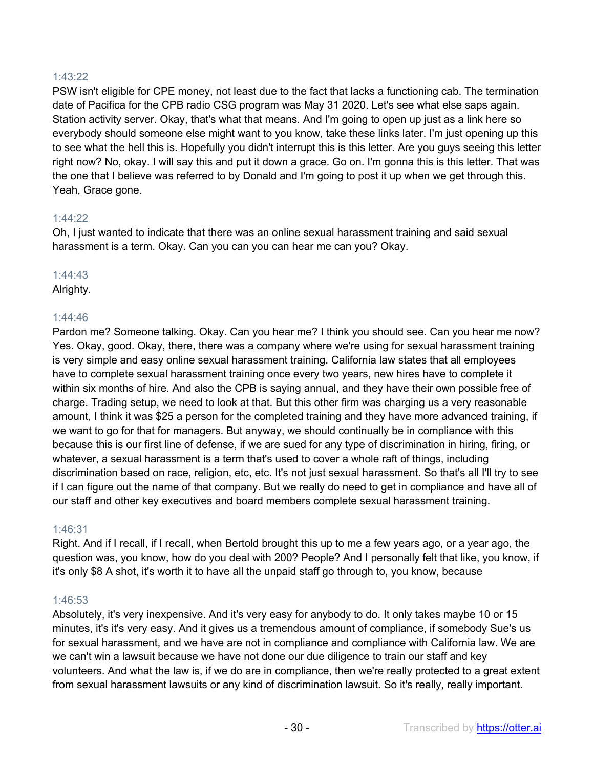# 1:43:22

PSW isn't eligible for CPE money, not least due to the fact that lacks a functioning cab. The termination date of Pacifica for the CPB radio CSG program was May 31 2020. Let's see what else saps again. Station activity server. Okay, that's what that means. And I'm going to open up just as a link here so everybody should someone else might want to you know, take these links later. I'm just opening up this to see what the hell this is. Hopefully you didn't interrupt this is this letter. Are you guys seeing this letter right now? No, okay. I will say this and put it down a grace. Go on. I'm gonna this is this letter. That was the one that I believe was referred to by Donald and I'm going to post it up when we get through this. Yeah, Grace gone.

#### 1:44:22

Oh, I just wanted to indicate that there was an online sexual harassment training and said sexual harassment is a term. Okay. Can you can you can hear me can you? Okay.

#### 1:44:43

Alrighty.

# 1:44:46

Pardon me? Someone talking. Okay. Can you hear me? I think you should see. Can you hear me now? Yes. Okay, good. Okay, there, there was a company where we're using for sexual harassment training is very simple and easy online sexual harassment training. California law states that all employees have to complete sexual harassment training once every two years, new hires have to complete it within six months of hire. And also the CPB is saying annual, and they have their own possible free of charge. Trading setup, we need to look at that. But this other firm was charging us a very reasonable amount, I think it was \$25 a person for the completed training and they have more advanced training, if we want to go for that for managers. But anyway, we should continually be in compliance with this because this is our first line of defense, if we are sued for any type of discrimination in hiring, firing, or whatever, a sexual harassment is a term that's used to cover a whole raft of things, including discrimination based on race, religion, etc, etc. It's not just sexual harassment. So that's all I'll try to see if I can figure out the name of that company. But we really do need to get in compliance and have all of our staff and other key executives and board members complete sexual harassment training.

#### 1:46:31

Right. And if I recall, if I recall, when Bertold brought this up to me a few years ago, or a year ago, the question was, you know, how do you deal with 200? People? And I personally felt that like, you know, if it's only \$8 A shot, it's worth it to have all the unpaid staff go through to, you know, because

#### 1:46:53

Absolutely, it's very inexpensive. And it's very easy for anybody to do. It only takes maybe 10 or 15 minutes, it's it's very easy. And it gives us a tremendous amount of compliance, if somebody Sue's us for sexual harassment, and we have are not in compliance and compliance with California law. We are we can't win a lawsuit because we have not done our due diligence to train our staff and key volunteers. And what the law is, if we do are in compliance, then we're really protected to a great extent from sexual harassment lawsuits or any kind of discrimination lawsuit. So it's really, really important.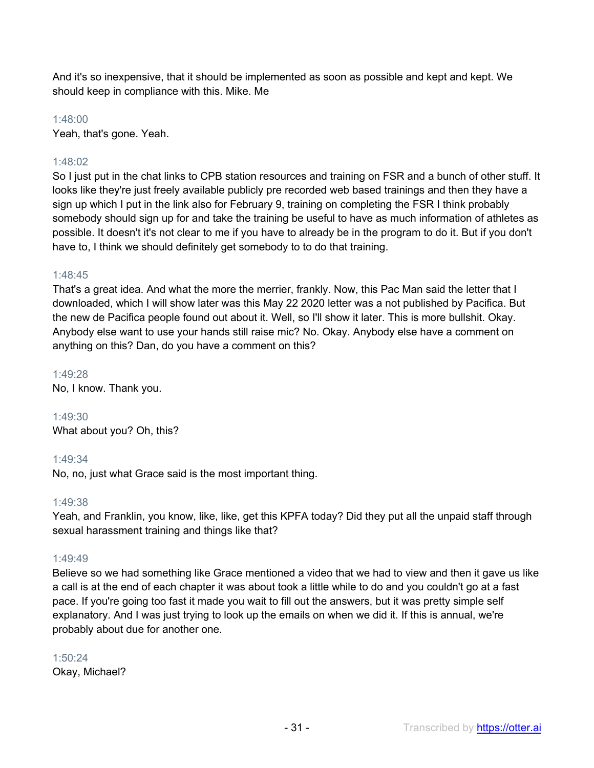And it's so inexpensive, that it should be implemented as soon as possible and kept and kept. We should keep in compliance with this. Mike. Me

1:48:00

Yeah, that's gone. Yeah.

# 1:48:02

So I just put in the chat links to CPB station resources and training on FSR and a bunch of other stuff. It looks like they're just freely available publicly pre recorded web based trainings and then they have a sign up which I put in the link also for February 9, training on completing the FSR I think probably somebody should sign up for and take the training be useful to have as much information of athletes as possible. It doesn't it's not clear to me if you have to already be in the program to do it. But if you don't have to, I think we should definitely get somebody to to do that training.

# 1:48:45

That's a great idea. And what the more the merrier, frankly. Now, this Pac Man said the letter that I downloaded, which I will show later was this May 22 2020 letter was a not published by Pacifica. But the new de Pacifica people found out about it. Well, so I'll show it later. This is more bullshit. Okay. Anybody else want to use your hands still raise mic? No. Okay. Anybody else have a comment on anything on this? Dan, do you have a comment on this?

1:49:28 No, I know. Thank you.

1:49:30 What about you? Oh, this?

# 1:49:34

No, no, just what Grace said is the most important thing.

#### 1:49:38

Yeah, and Franklin, you know, like, like, get this KPFA today? Did they put all the unpaid staff through sexual harassment training and things like that?

# 1:49:49

Believe so we had something like Grace mentioned a video that we had to view and then it gave us like a call is at the end of each chapter it was about took a little while to do and you couldn't go at a fast pace. If you're going too fast it made you wait to fill out the answers, but it was pretty simple self explanatory. And I was just trying to look up the emails on when we did it. If this is annual, we're probably about due for another one.

# 1:50:24 Okay, Michael?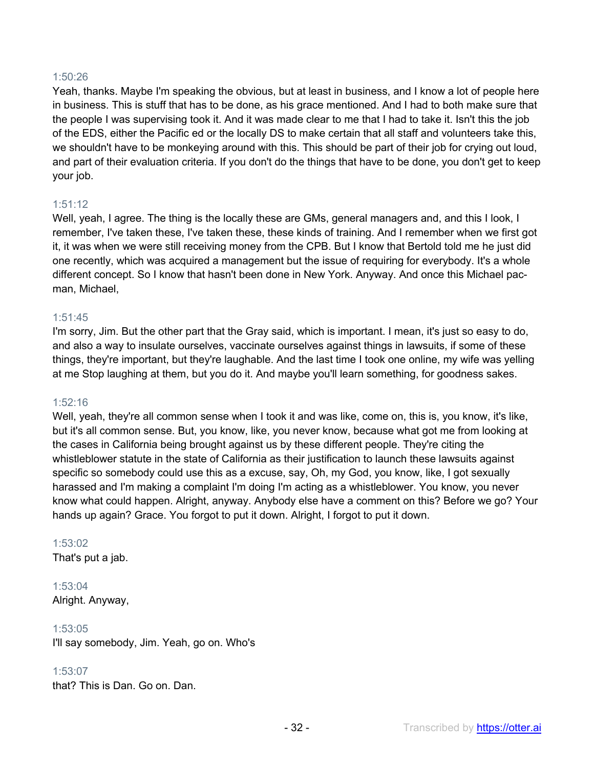#### 1:50:26

Yeah, thanks. Maybe I'm speaking the obvious, but at least in business, and I know a lot of people here in business. This is stuff that has to be done, as his grace mentioned. And I had to both make sure that the people I was supervising took it. And it was made clear to me that I had to take it. Isn't this the job of the EDS, either the Pacific ed or the locally DS to make certain that all staff and volunteers take this, we shouldn't have to be monkeying around with this. This should be part of their job for crying out loud, and part of their evaluation criteria. If you don't do the things that have to be done, you don't get to keep your job.

#### 1:51:12

Well, yeah, I agree. The thing is the locally these are GMs, general managers and, and this I look, I remember, I've taken these, I've taken these, these kinds of training. And I remember when we first got it, it was when we were still receiving money from the CPB. But I know that Bertold told me he just did one recently, which was acquired a management but the issue of requiring for everybody. It's a whole different concept. So I know that hasn't been done in New York. Anyway. And once this Michael pacman, Michael,

#### 1:51:45

I'm sorry, Jim. But the other part that the Gray said, which is important. I mean, it's just so easy to do, and also a way to insulate ourselves, vaccinate ourselves against things in lawsuits, if some of these things, they're important, but they're laughable. And the last time I took one online, my wife was yelling at me Stop laughing at them, but you do it. And maybe you'll learn something, for goodness sakes.

#### 1:52:16

Well, yeah, they're all common sense when I took it and was like, come on, this is, you know, it's like, but it's all common sense. But, you know, like, you never know, because what got me from looking at the cases in California being brought against us by these different people. They're citing the whistleblower statute in the state of California as their justification to launch these lawsuits against specific so somebody could use this as a excuse, say, Oh, my God, you know, like, I got sexually harassed and I'm making a complaint I'm doing I'm acting as a whistleblower. You know, you never know what could happen. Alright, anyway. Anybody else have a comment on this? Before we go? Your hands up again? Grace. You forgot to put it down. Alright, I forgot to put it down.

#### 1:53:02

That's put a jab.

1:53:04 Alright. Anyway,

#### 1:53:05

I'll say somebody, Jim. Yeah, go on. Who's

#### 1:53:07

that? This is Dan. Go on. Dan.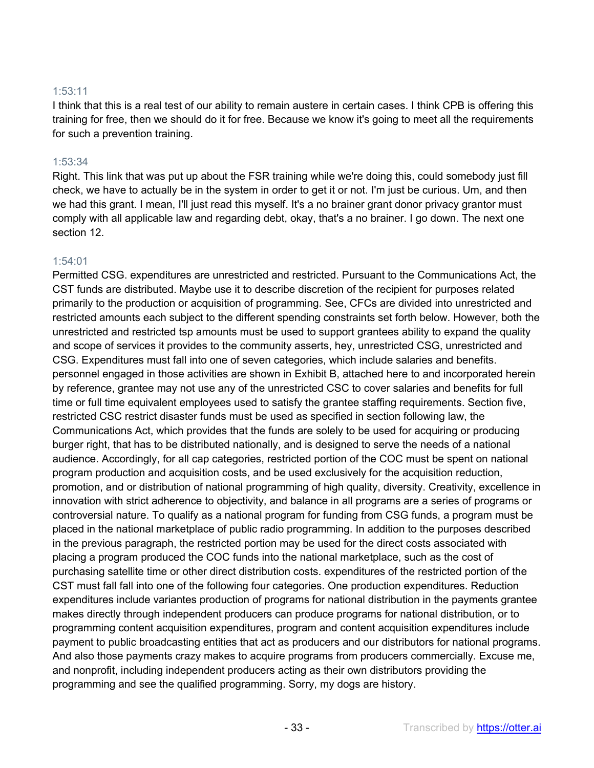#### 1:53:11

I think that this is a real test of our ability to remain austere in certain cases. I think CPB is offering this training for free, then we should do it for free. Because we know it's going to meet all the requirements for such a prevention training.

#### 1:53:34

Right. This link that was put up about the FSR training while we're doing this, could somebody just fill check, we have to actually be in the system in order to get it or not. I'm just be curious. Um, and then we had this grant. I mean, I'll just read this myself. It's a no brainer grant donor privacy grantor must comply with all applicable law and regarding debt, okay, that's a no brainer. I go down. The next one section 12.

#### 1:54:01

Permitted CSG. expenditures are unrestricted and restricted. Pursuant to the Communications Act, the CST funds are distributed. Maybe use it to describe discretion of the recipient for purposes related primarily to the production or acquisition of programming. See, CFCs are divided into unrestricted and restricted amounts each subject to the different spending constraints set forth below. However, both the unrestricted and restricted tsp amounts must be used to support grantees ability to expand the quality and scope of services it provides to the community asserts, hey, unrestricted CSG, unrestricted and CSG. Expenditures must fall into one of seven categories, which include salaries and benefits. personnel engaged in those activities are shown in Exhibit B, attached here to and incorporated herein by reference, grantee may not use any of the unrestricted CSC to cover salaries and benefits for full time or full time equivalent employees used to satisfy the grantee staffing requirements. Section five, restricted CSC restrict disaster funds must be used as specified in section following law, the Communications Act, which provides that the funds are solely to be used for acquiring or producing burger right, that has to be distributed nationally, and is designed to serve the needs of a national audience. Accordingly, for all cap categories, restricted portion of the COC must be spent on national program production and acquisition costs, and be used exclusively for the acquisition reduction, promotion, and or distribution of national programming of high quality, diversity. Creativity, excellence in innovation with strict adherence to objectivity, and balance in all programs are a series of programs or controversial nature. To qualify as a national program for funding from CSG funds, a program must be placed in the national marketplace of public radio programming. In addition to the purposes described in the previous paragraph, the restricted portion may be used for the direct costs associated with placing a program produced the COC funds into the national marketplace, such as the cost of purchasing satellite time or other direct distribution costs. expenditures of the restricted portion of the CST must fall fall into one of the following four categories. One production expenditures. Reduction expenditures include variantes production of programs for national distribution in the payments grantee makes directly through independent producers can produce programs for national distribution, or to programming content acquisition expenditures, program and content acquisition expenditures include payment to public broadcasting entities that act as producers and our distributors for national programs. And also those payments crazy makes to acquire programs from producers commercially. Excuse me, and nonprofit, including independent producers acting as their own distributors providing the programming and see the qualified programming. Sorry, my dogs are history.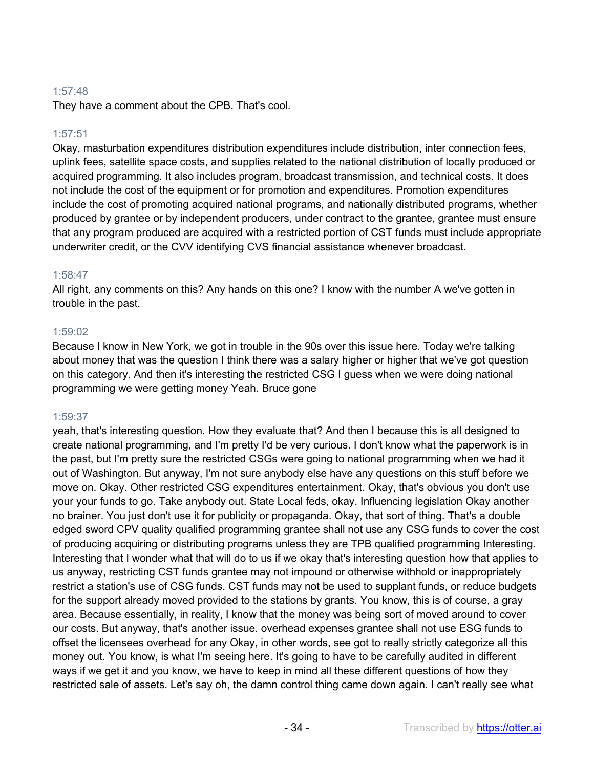# 1:57:48

They have a comment about the CPB. That's cool.

# 1:57:51

Okay, masturbation expenditures distribution expenditures include distribution, inter connection fees, uplink fees, satellite space costs, and supplies related to the national distribution of locally produced or acquired programming. It also includes program, broadcast transmission, and technical costs. It does not include the cost of the equipment or for promotion and expenditures. Promotion expenditures include the cost of promoting acquired national programs, and nationally distributed programs, whether produced by grantee or by independent producers, under contract to the grantee, grantee must ensure that any program produced are acquired with a restricted portion of CST funds must include appropriate underwriter credit, or the CVV identifying CVS financial assistance whenever broadcast.

# 1:58:47

All right, any comments on this? Any hands on this one? I know with the number A we've gotten in trouble in the past.

#### 1:59:02

Because I know in New York, we got in trouble in the 90s over this issue here. Today we're talking about money that was the question I think there was a salary higher or higher that we've got question on this category. And then it's interesting the restricted CSG I guess when we were doing national programming we were getting money Yeah. Bruce gone

# 1:59:37

yeah, that's interesting question. How they evaluate that? And then I because this is all designed to create national programming, and I'm pretty I'd be very curious. I don't know what the paperwork is in the past, but I'm pretty sure the restricted CSGs were going to national programming when we had it out of Washington. But anyway, I'm not sure anybody else have any questions on this stuff before we move on. Okay. Other restricted CSG expenditures entertainment. Okay, that's obvious you don't use your your funds to go. Take anybody out. State Local feds, okay. Influencing legislation Okay another no brainer. You just don't use it for publicity or propaganda. Okay, that sort of thing. That's a double edged sword CPV quality qualified programming grantee shall not use any CSG funds to cover the cost of producing acquiring or distributing programs unless they are TPB qualified programming Interesting. Interesting that I wonder what that will do to us if we okay that's interesting question how that applies to us anyway, restricting CST funds grantee may not impound or otherwise withhold or inappropriately restrict a station's use of CSG funds. CST funds may not be used to supplant funds, or reduce budgets for the support already moved provided to the stations by grants. You know, this is of course, a gray area. Because essentially, in reality, I know that the money was being sort of moved around to cover our costs. But anyway, that's another issue. overhead expenses grantee shall not use ESG funds to offset the licensees overhead for any Okay, in other words, see got to really strictly categorize all this money out. You know, is what I'm seeing here. It's going to have to be carefully audited in different ways if we get it and you know, we have to keep in mind all these different questions of how they restricted sale of assets. Let's say oh, the damn control thing came down again. I can't really see what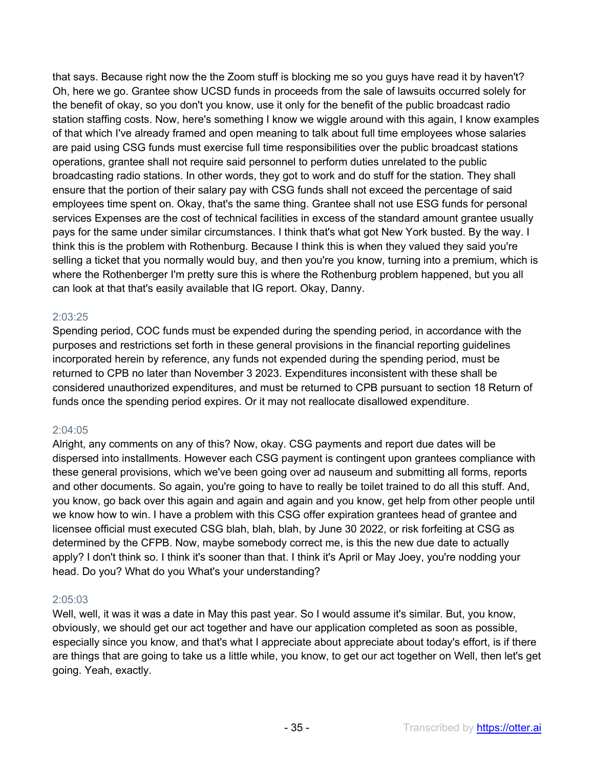that says. Because right now the the Zoom stuff is blocking me so you guys have read it by haven't? Oh, here we go. Grantee show UCSD funds in proceeds from the sale of lawsuits occurred solely for the benefit of okay, so you don't you know, use it only for the benefit of the public broadcast radio station staffing costs. Now, here's something I know we wiggle around with this again, I know examples of that which I've already framed and open meaning to talk about full time employees whose salaries are paid using CSG funds must exercise full time responsibilities over the public broadcast stations operations, grantee shall not require said personnel to perform duties unrelated to the public broadcasting radio stations. In other words, they got to work and do stuff for the station. They shall ensure that the portion of their salary pay with CSG funds shall not exceed the percentage of said employees time spent on. Okay, that's the same thing. Grantee shall not use ESG funds for personal services Expenses are the cost of technical facilities in excess of the standard amount grantee usually pays for the same under similar circumstances. I think that's what got New York busted. By the way. I think this is the problem with Rothenburg. Because I think this is when they valued they said you're selling a ticket that you normally would buy, and then you're you know, turning into a premium, which is where the Rothenberger I'm pretty sure this is where the Rothenburg problem happened, but you all can look at that that's easily available that IG report. Okay, Danny.

# 2:03:25

Spending period, COC funds must be expended during the spending period, in accordance with the purposes and restrictions set forth in these general provisions in the financial reporting guidelines incorporated herein by reference, any funds not expended during the spending period, must be returned to CPB no later than November 3 2023. Expenditures inconsistent with these shall be considered unauthorized expenditures, and must be returned to CPB pursuant to section 18 Return of funds once the spending period expires. Or it may not reallocate disallowed expenditure.

# 2:04:05

Alright, any comments on any of this? Now, okay. CSG payments and report due dates will be dispersed into installments. However each CSG payment is contingent upon grantees compliance with these general provisions, which we've been going over ad nauseum and submitting all forms, reports and other documents. So again, you're going to have to really be toilet trained to do all this stuff. And, you know, go back over this again and again and again and you know, get help from other people until we know how to win. I have a problem with this CSG offer expiration grantees head of grantee and licensee official must executed CSG blah, blah, blah, by June 30 2022, or risk forfeiting at CSG as determined by the CFPB. Now, maybe somebody correct me, is this the new due date to actually apply? I don't think so. I think it's sooner than that. I think it's April or May Joey, you're nodding your head. Do you? What do you What's your understanding?

#### 2:05:03

Well, well, it was it was a date in May this past year. So I would assume it's similar. But, you know, obviously, we should get our act together and have our application completed as soon as possible, especially since you know, and that's what I appreciate about appreciate about today's effort, is if there are things that are going to take us a little while, you know, to get our act together on Well, then let's get going. Yeah, exactly.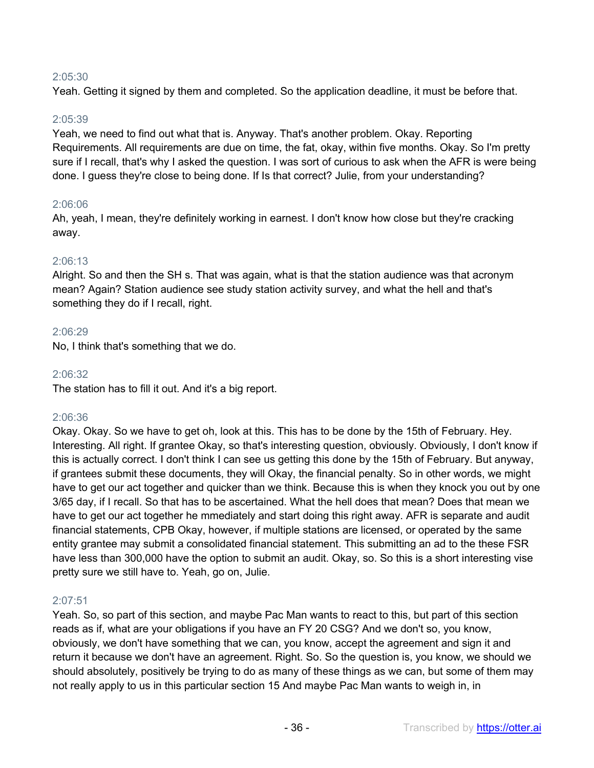# 2:05:30

Yeah. Getting it signed by them and completed. So the application deadline, it must be before that.

# 2:05:39

Yeah, we need to find out what that is. Anyway. That's another problem. Okay. Reporting Requirements. All requirements are due on time, the fat, okay, within five months. Okay. So I'm pretty sure if I recall, that's why I asked the question. I was sort of curious to ask when the AFR is were being done. I guess they're close to being done. If Is that correct? Julie, from your understanding?

# 2:06:06

Ah, yeah, I mean, they're definitely working in earnest. I don't know how close but they're cracking away.

# 2:06:13

Alright. So and then the SH s. That was again, what is that the station audience was that acronym mean? Again? Station audience see study station activity survey, and what the hell and that's something they do if I recall, right.

# 2:06:29

No, I think that's something that we do.

# 2:06:32

The station has to fill it out. And it's a big report.

# 2:06:36

Okay. Okay. So we have to get oh, look at this. This has to be done by the 15th of February. Hey. Interesting. All right. If grantee Okay, so that's interesting question, obviously. Obviously, I don't know if this is actually correct. I don't think I can see us getting this done by the 15th of February. But anyway, if grantees submit these documents, they will Okay, the financial penalty. So in other words, we might have to get our act together and quicker than we think. Because this is when they knock you out by one 3/65 day, if I recall. So that has to be ascertained. What the hell does that mean? Does that mean we have to get our act together he mmediately and start doing this right away. AFR is separate and audit financial statements, CPB Okay, however, if multiple stations are licensed, or operated by the same entity grantee may submit a consolidated financial statement. This submitting an ad to the these FSR have less than 300,000 have the option to submit an audit. Okay, so. So this is a short interesting vise pretty sure we still have to. Yeah, go on, Julie.

#### 2:07:51

Yeah. So, so part of this section, and maybe Pac Man wants to react to this, but part of this section reads as if, what are your obligations if you have an FY 20 CSG? And we don't so, you know, obviously, we don't have something that we can, you know, accept the agreement and sign it and return it because we don't have an agreement. Right. So. So the question is, you know, we should we should absolutely, positively be trying to do as many of these things as we can, but some of them may not really apply to us in this particular section 15 And maybe Pac Man wants to weigh in, in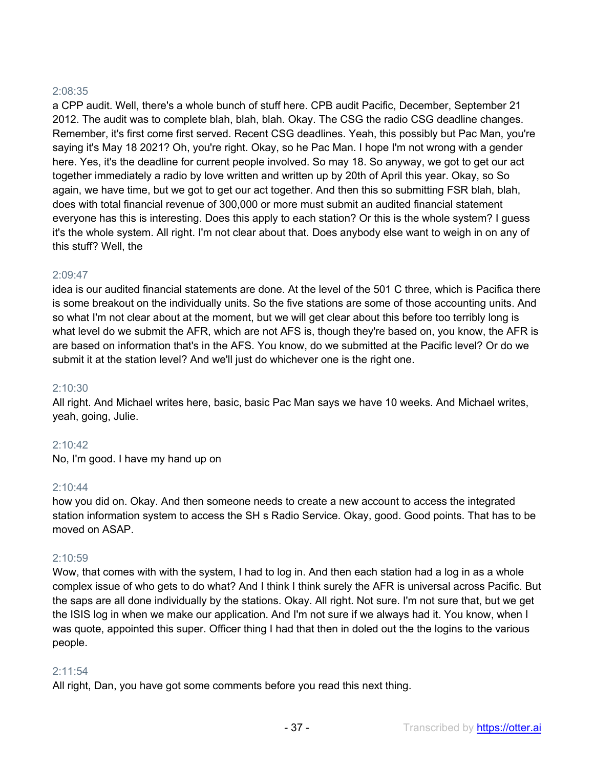## 2:08:35

a CPP audit. Well, there's a whole bunch of stuff here. CPB audit Pacific, December, September 21 2012. The audit was to complete blah, blah, blah. Okay. The CSG the radio CSG deadline changes. Remember, it's first come first served. Recent CSG deadlines. Yeah, this possibly but Pac Man, you're saying it's May 18 2021? Oh, you're right. Okay, so he Pac Man. I hope I'm not wrong with a gender here. Yes, it's the deadline for current people involved. So may 18. So anyway, we got to get our act together immediately a radio by love written and written up by 20th of April this year. Okay, so So again, we have time, but we got to get our act together. And then this so submitting FSR blah, blah, does with total financial revenue of 300,000 or more must submit an audited financial statement everyone has this is interesting. Does this apply to each station? Or this is the whole system? I guess it's the whole system. All right. I'm not clear about that. Does anybody else want to weigh in on any of this stuff? Well, the

# 2:09:47

idea is our audited financial statements are done. At the level of the 501 C three, which is Pacifica there is some breakout on the individually units. So the five stations are some of those accounting units. And so what I'm not clear about at the moment, but we will get clear about this before too terribly long is what level do we submit the AFR, which are not AFS is, though they're based on, you know, the AFR is are based on information that's in the AFS. You know, do we submitted at the Pacific level? Or do we submit it at the station level? And we'll just do whichever one is the right one.

#### 2:10:30

All right. And Michael writes here, basic, basic Pac Man says we have 10 weeks. And Michael writes, yeah, going, Julie.

# 2:10:42

No, I'm good. I have my hand up on

#### $2.10:44$

how you did on. Okay. And then someone needs to create a new account to access the integrated station information system to access the SH s Radio Service. Okay, good. Good points. That has to be moved on ASAP.

#### 2:10:59

Wow, that comes with with the system, I had to log in. And then each station had a log in as a whole complex issue of who gets to do what? And I think I think surely the AFR is universal across Pacific. But the saps are all done individually by the stations. Okay. All right. Not sure. I'm not sure that, but we get the ISIS log in when we make our application. And I'm not sure if we always had it. You know, when I was quote, appointed this super. Officer thing I had that then in doled out the the logins to the various people.

# 2:11:54

All right, Dan, you have got some comments before you read this next thing.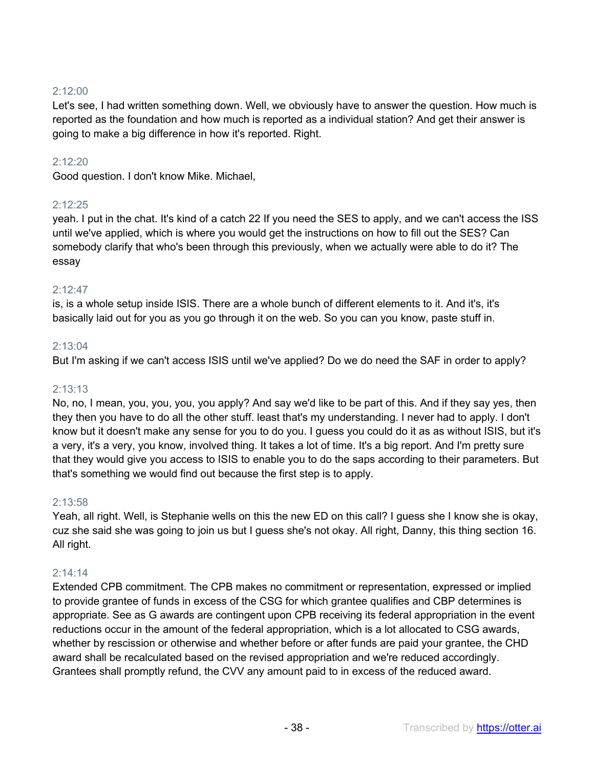# 2:12:00

Let's see, I had written something down. Well, we obviously have to answer the question. How much is reported as the foundation and how much is reported as a individual station? And get their answer is going to make a big difference in how it's reported. Right.

# 2:12:20

Good question. I don't know Mike. Michael,

# 2:12:25

yeah. I put in the chat. It's kind of a catch 22 If you need the SES to apply, and we can't access the ISS until we've applied, which is where you would get the instructions on how to fill out the SES? Can somebody clarify that who's been through this previously, when we actually were able to do it? The essay

# $2.12.47$

is, is a whole setup inside ISIS. There are a whole bunch of different elements to it. And it's, it's basically laid out for you as you go through it on the web. So you can you know, paste stuff in.

# 2:13:04

But I'm asking if we can't access ISIS until we've applied? Do we do need the SAF in order to apply?

#### 2:13:13

No, no, I mean, you, you, you, you apply? And say we'd like to be part of this. And if they say yes, then they then you have to do all the other stuff. least that's my understanding. I never had to apply. I don't know but it doesn't make any sense for you to do you. I guess you could do it as as without ISIS, but it's a very, it's a very, you know, involved thing. It takes a lot of time. It's a big report. And I'm pretty sure that they would give you access to ISIS to enable you to do the saps according to their parameters. But that's something we would find out because the first step is to apply.

#### 2:13:58

Yeah, all right. Well, is Stephanie wells on this the new ED on this call? I guess she I know she is okay, cuz she said she was going to join us but I guess she's not okay. All right, Danny, this thing section 16. All right.

#### 2:14:14

Extended CPB commitment. The CPB makes no commitment or representation, expressed or implied to provide grantee of funds in excess of the CSG for which grantee qualifies and CBP determines is appropriate. See as G awards are contingent upon CPB receiving its federal appropriation in the event reductions occur in the amount of the federal appropriation, which is a lot allocated to CSG awards, whether by rescission or otherwise and whether before or after funds are paid your grantee, the CHD award shall be recalculated based on the revised appropriation and we're reduced accordingly. Grantees shall promptly refund, the CVV any amount paid to in excess of the reduced award.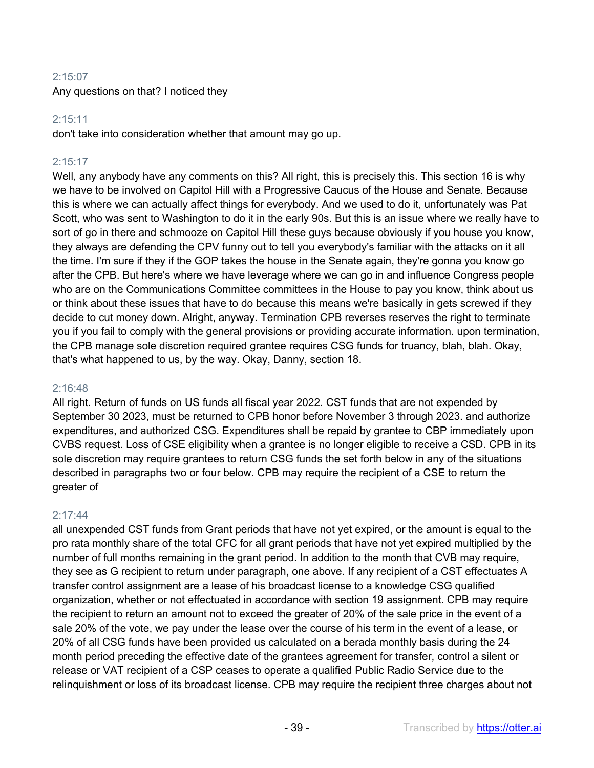# 2:15:07

Any questions on that? I noticed they

# 2:15:11

don't take into consideration whether that amount may go up.

# 2:15:17

Well, any anybody have any comments on this? All right, this is precisely this. This section 16 is why we have to be involved on Capitol Hill with a Progressive Caucus of the House and Senate. Because this is where we can actually affect things for everybody. And we used to do it, unfortunately was Pat Scott, who was sent to Washington to do it in the early 90s. But this is an issue where we really have to sort of go in there and schmooze on Capitol Hill these guys because obviously if you house you know, they always are defending the CPV funny out to tell you everybody's familiar with the attacks on it all the time. I'm sure if they if the GOP takes the house in the Senate again, they're gonna you know go after the CPB. But here's where we have leverage where we can go in and influence Congress people who are on the Communications Committee committees in the House to pay you know, think about us or think about these issues that have to do because this means we're basically in gets screwed if they decide to cut money down. Alright, anyway. Termination CPB reverses reserves the right to terminate you if you fail to comply with the general provisions or providing accurate information. upon termination, the CPB manage sole discretion required grantee requires CSG funds for truancy, blah, blah. Okay, that's what happened to us, by the way. Okay, Danny, section 18.

#### 2:16:48

All right. Return of funds on US funds all fiscal year 2022. CST funds that are not expended by September 30 2023, must be returned to CPB honor before November 3 through 2023. and authorize expenditures, and authorized CSG. Expenditures shall be repaid by grantee to CBP immediately upon CVBS request. Loss of CSE eligibility when a grantee is no longer eligible to receive a CSD. CPB in its sole discretion may require grantees to return CSG funds the set forth below in any of the situations described in paragraphs two or four below. CPB may require the recipient of a CSE to return the greater of

#### 2:17:44

all unexpended CST funds from Grant periods that have not yet expired, or the amount is equal to the pro rata monthly share of the total CFC for all grant periods that have not yet expired multiplied by the number of full months remaining in the grant period. In addition to the month that CVB may require, they see as G recipient to return under paragraph, one above. If any recipient of a CST effectuates A transfer control assignment are a lease of his broadcast license to a knowledge CSG qualified organization, whether or not effectuated in accordance with section 19 assignment. CPB may require the recipient to return an amount not to exceed the greater of 20% of the sale price in the event of a sale 20% of the vote, we pay under the lease over the course of his term in the event of a lease, or 20% of all CSG funds have been provided us calculated on a berada monthly basis during the 24 month period preceding the effective date of the grantees agreement for transfer, control a silent or release or VAT recipient of a CSP ceases to operate a qualified Public Radio Service due to the relinquishment or loss of its broadcast license. CPB may require the recipient three charges about not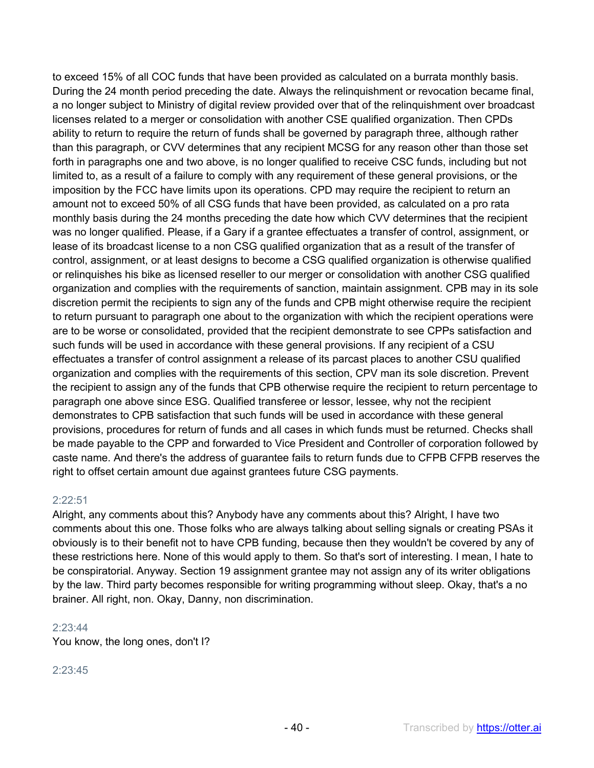to exceed 15% of all COC funds that have been provided as calculated on a burrata monthly basis. During the 24 month period preceding the date. Always the relinquishment or revocation became final, a no longer subject to Ministry of digital review provided over that of the relinquishment over broadcast licenses related to a merger or consolidation with another CSE qualified organization. Then CPDs ability to return to require the return of funds shall be governed by paragraph three, although rather than this paragraph, or CVV determines that any recipient MCSG for any reason other than those set forth in paragraphs one and two above, is no longer qualified to receive CSC funds, including but not limited to, as a result of a failure to comply with any requirement of these general provisions, or the imposition by the FCC have limits upon its operations. CPD may require the recipient to return an amount not to exceed 50% of all CSG funds that have been provided, as calculated on a pro rata monthly basis during the 24 months preceding the date how which CVV determines that the recipient was no longer qualified. Please, if a Gary if a grantee effectuates a transfer of control, assignment, or lease of its broadcast license to a non CSG qualified organization that as a result of the transfer of control, assignment, or at least designs to become a CSG qualified organization is otherwise qualified or relinquishes his bike as licensed reseller to our merger or consolidation with another CSG qualified organization and complies with the requirements of sanction, maintain assignment. CPB may in its sole discretion permit the recipients to sign any of the funds and CPB might otherwise require the recipient to return pursuant to paragraph one about to the organization with which the recipient operations were are to be worse or consolidated, provided that the recipient demonstrate to see CPPs satisfaction and such funds will be used in accordance with these general provisions. If any recipient of a CSU effectuates a transfer of control assignment a release of its parcast places to another CSU qualified organization and complies with the requirements of this section, CPV man its sole discretion. Prevent the recipient to assign any of the funds that CPB otherwise require the recipient to return percentage to paragraph one above since ESG. Qualified transferee or lessor, lessee, why not the recipient demonstrates to CPB satisfaction that such funds will be used in accordance with these general provisions, procedures for return of funds and all cases in which funds must be returned. Checks shall be made payable to the CPP and forwarded to Vice President and Controller of corporation followed by caste name. And there's the address of guarantee fails to return funds due to CFPB CFPB reserves the right to offset certain amount due against grantees future CSG payments.

#### 2:22:51

Alright, any comments about this? Anybody have any comments about this? Alright, I have two comments about this one. Those folks who are always talking about selling signals or creating PSAs it obviously is to their benefit not to have CPB funding, because then they wouldn't be covered by any of these restrictions here. None of this would apply to them. So that's sort of interesting. I mean, I hate to be conspiratorial. Anyway. Section 19 assignment grantee may not assign any of its writer obligations by the law. Third party becomes responsible for writing programming without sleep. Okay, that's a no brainer. All right, non. Okay, Danny, non discrimination.

#### 2:23:44

You know, the long ones, don't I?

#### 2:23:45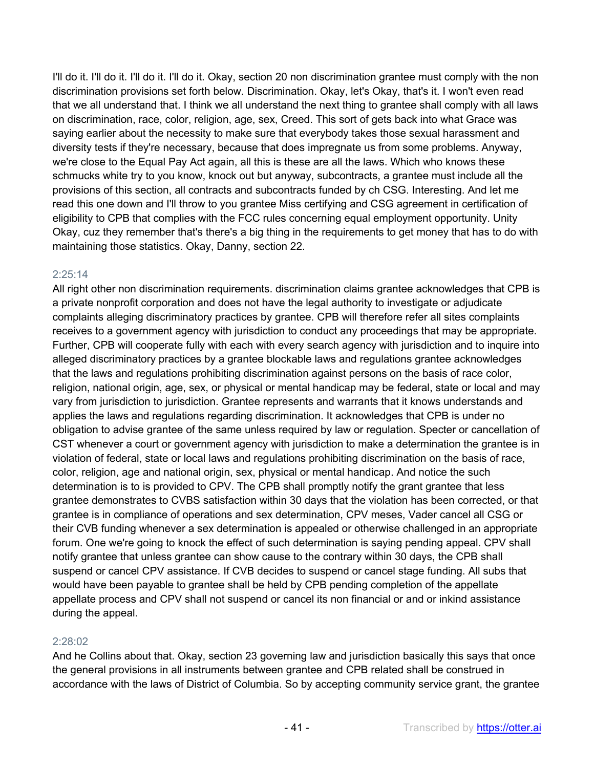I'll do it. I'll do it. I'll do it. I'll do it. Okay, section 20 non discrimination grantee must comply with the non discrimination provisions set forth below. Discrimination. Okay, let's Okay, that's it. I won't even read that we all understand that. I think we all understand the next thing to grantee shall comply with all laws on discrimination, race, color, religion, age, sex, Creed. This sort of gets back into what Grace was saying earlier about the necessity to make sure that everybody takes those sexual harassment and diversity tests if they're necessary, because that does impregnate us from some problems. Anyway, we're close to the Equal Pay Act again, all this is these are all the laws. Which who knows these schmucks white try to you know, knock out but anyway, subcontracts, a grantee must include all the provisions of this section, all contracts and subcontracts funded by ch CSG. Interesting. And let me read this one down and I'll throw to you grantee Miss certifying and CSG agreement in certification of eligibility to CPB that complies with the FCC rules concerning equal employment opportunity. Unity Okay, cuz they remember that's there's a big thing in the requirements to get money that has to do with maintaining those statistics. Okay, Danny, section 22.

#### 2:25:14

All right other non discrimination requirements. discrimination claims grantee acknowledges that CPB is a private nonprofit corporation and does not have the legal authority to investigate or adjudicate complaints alleging discriminatory practices by grantee. CPB will therefore refer all sites complaints receives to a government agency with jurisdiction to conduct any proceedings that may be appropriate. Further, CPB will cooperate fully with each with every search agency with jurisdiction and to inquire into alleged discriminatory practices by a grantee blockable laws and regulations grantee acknowledges that the laws and regulations prohibiting discrimination against persons on the basis of race color, religion, national origin, age, sex, or physical or mental handicap may be federal, state or local and may vary from jurisdiction to jurisdiction. Grantee represents and warrants that it knows understands and applies the laws and regulations regarding discrimination. It acknowledges that CPB is under no obligation to advise grantee of the same unless required by law or regulation. Specter or cancellation of CST whenever a court or government agency with jurisdiction to make a determination the grantee is in violation of federal, state or local laws and regulations prohibiting discrimination on the basis of race, color, religion, age and national origin, sex, physical or mental handicap. And notice the such determination is to is provided to CPV. The CPB shall promptly notify the grant grantee that less grantee demonstrates to CVBS satisfaction within 30 days that the violation has been corrected, or that grantee is in compliance of operations and sex determination, CPV meses, Vader cancel all CSG or their CVB funding whenever a sex determination is appealed or otherwise challenged in an appropriate forum. One we're going to knock the effect of such determination is saying pending appeal. CPV shall notify grantee that unless grantee can show cause to the contrary within 30 days, the CPB shall suspend or cancel CPV assistance. If CVB decides to suspend or cancel stage funding. All subs that would have been payable to grantee shall be held by CPB pending completion of the appellate appellate process and CPV shall not suspend or cancel its non financial or and or inkind assistance during the appeal.

# 2:28:02

And he Collins about that. Okay, section 23 governing law and jurisdiction basically this says that once the general provisions in all instruments between grantee and CPB related shall be construed in accordance with the laws of District of Columbia. So by accepting community service grant, the grantee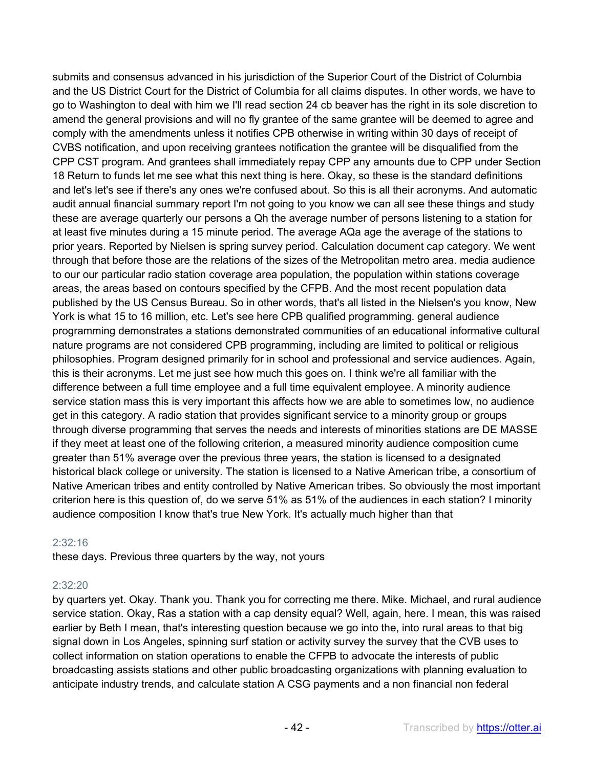submits and consensus advanced in his jurisdiction of the Superior Court of the District of Columbia and the US District Court for the District of Columbia for all claims disputes. In other words, we have to go to Washington to deal with him we I'll read section 24 cb beaver has the right in its sole discretion to amend the general provisions and will no fly grantee of the same grantee will be deemed to agree and comply with the amendments unless it notifies CPB otherwise in writing within 30 days of receipt of CVBS notification, and upon receiving grantees notification the grantee will be disqualified from the CPP CST program. And grantees shall immediately repay CPP any amounts due to CPP under Section 18 Return to funds let me see what this next thing is here. Okay, so these is the standard definitions and let's let's see if there's any ones we're confused about. So this is all their acronyms. And automatic audit annual financial summary report I'm not going to you know we can all see these things and study these are average quarterly our persons a Qh the average number of persons listening to a station for at least five minutes during a 15 minute period. The average AQa age the average of the stations to prior years. Reported by Nielsen is spring survey period. Calculation document cap category. We went through that before those are the relations of the sizes of the Metropolitan metro area. media audience to our our particular radio station coverage area population, the population within stations coverage areas, the areas based on contours specified by the CFPB. And the most recent population data published by the US Census Bureau. So in other words, that's all listed in the Nielsen's you know, New York is what 15 to 16 million, etc. Let's see here CPB qualified programming. general audience programming demonstrates a stations demonstrated communities of an educational informative cultural nature programs are not considered CPB programming, including are limited to political or religious philosophies. Program designed primarily for in school and professional and service audiences. Again, this is their acronyms. Let me just see how much this goes on. I think we're all familiar with the difference between a full time employee and a full time equivalent employee. A minority audience service station mass this is very important this affects how we are able to sometimes low, no audience get in this category. A radio station that provides significant service to a minority group or groups through diverse programming that serves the needs and interests of minorities stations are DE MASSE if they meet at least one of the following criterion, a measured minority audience composition cume greater than 51% average over the previous three years, the station is licensed to a designated historical black college or university. The station is licensed to a Native American tribe, a consortium of Native American tribes and entity controlled by Native American tribes. So obviously the most important criterion here is this question of, do we serve 51% as 51% of the audiences in each station? I minority audience composition I know that's true New York. It's actually much higher than that

# 2:32:16

these days. Previous three quarters by the way, not yours

# 2:32:20

by quarters yet. Okay. Thank you. Thank you for correcting me there. Mike. Michael, and rural audience service station. Okay, Ras a station with a cap density equal? Well, again, here. I mean, this was raised earlier by Beth I mean, that's interesting question because we go into the, into rural areas to that big signal down in Los Angeles, spinning surf station or activity survey the survey that the CVB uses to collect information on station operations to enable the CFPB to advocate the interests of public broadcasting assists stations and other public broadcasting organizations with planning evaluation to anticipate industry trends, and calculate station A CSG payments and a non financial non federal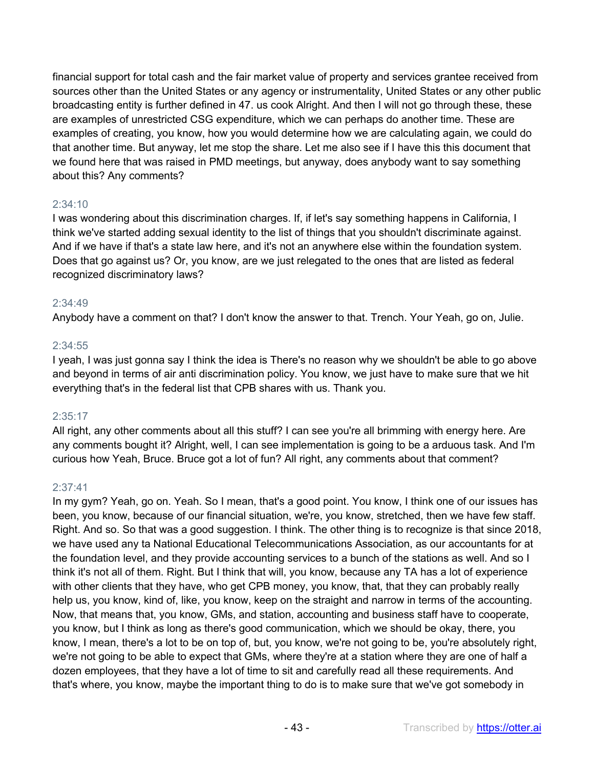financial support for total cash and the fair market value of property and services grantee received from sources other than the United States or any agency or instrumentality, United States or any other public broadcasting entity is further defined in 47. us cook Alright. And then I will not go through these, these are examples of unrestricted CSG expenditure, which we can perhaps do another time. These are examples of creating, you know, how you would determine how we are calculating again, we could do that another time. But anyway, let me stop the share. Let me also see if I have this this document that we found here that was raised in PMD meetings, but anyway, does anybody want to say something about this? Any comments?

# 2:34:10

I was wondering about this discrimination charges. If, if let's say something happens in California, I think we've started adding sexual identity to the list of things that you shouldn't discriminate against. And if we have if that's a state law here, and it's not an anywhere else within the foundation system. Does that go against us? Or, you know, are we just relegated to the ones that are listed as federal recognized discriminatory laws?

# 2:34:49

Anybody have a comment on that? I don't know the answer to that. Trench. Your Yeah, go on, Julie.

# 2:34:55

I yeah, I was just gonna say I think the idea is There's no reason why we shouldn't be able to go above and beyond in terms of air anti discrimination policy. You know, we just have to make sure that we hit everything that's in the federal list that CPB shares with us. Thank you.

# 2:35:17

All right, any other comments about all this stuff? I can see you're all brimming with energy here. Are any comments bought it? Alright, well, I can see implementation is going to be a arduous task. And I'm curious how Yeah, Bruce. Bruce got a lot of fun? All right, any comments about that comment?

#### 2:37:41

In my gym? Yeah, go on. Yeah. So I mean, that's a good point. You know, I think one of our issues has been, you know, because of our financial situation, we're, you know, stretched, then we have few staff. Right. And so. So that was a good suggestion. I think. The other thing is to recognize is that since 2018, we have used any ta National Educational Telecommunications Association, as our accountants for at the foundation level, and they provide accounting services to a bunch of the stations as well. And so I think it's not all of them. Right. But I think that will, you know, because any TA has a lot of experience with other clients that they have, who get CPB money, you know, that, that they can probably really help us, you know, kind of, like, you know, keep on the straight and narrow in terms of the accounting. Now, that means that, you know, GMs, and station, accounting and business staff have to cooperate, you know, but I think as long as there's good communication, which we should be okay, there, you know, I mean, there's a lot to be on top of, but, you know, we're not going to be, you're absolutely right, we're not going to be able to expect that GMs, where they're at a station where they are one of half a dozen employees, that they have a lot of time to sit and carefully read all these requirements. And that's where, you know, maybe the important thing to do is to make sure that we've got somebody in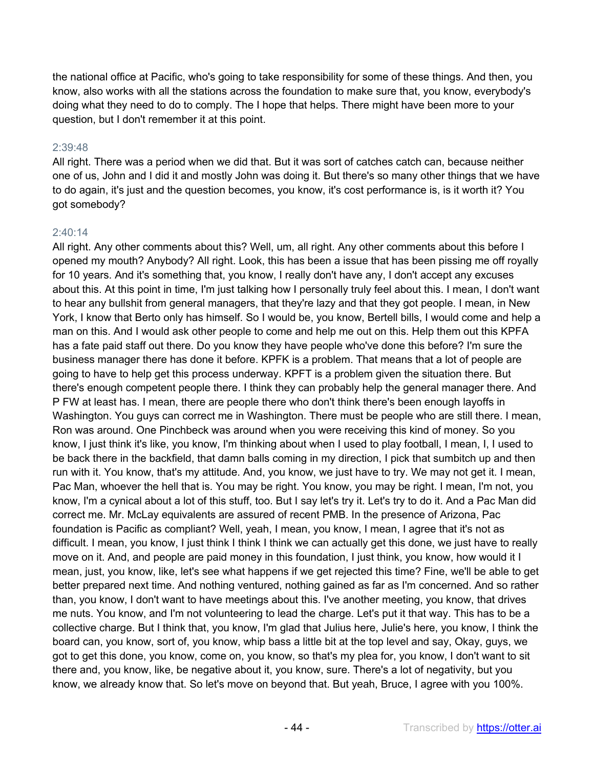the national office at Pacific, who's going to take responsibility for some of these things. And then, you know, also works with all the stations across the foundation to make sure that, you know, everybody's doing what they need to do to comply. The I hope that helps. There might have been more to your question, but I don't remember it at this point.

#### 2:39:48

All right. There was a period when we did that. But it was sort of catches catch can, because neither one of us, John and I did it and mostly John was doing it. But there's so many other things that we have to do again, it's just and the question becomes, you know, it's cost performance is, is it worth it? You got somebody?

#### 2:40:14

All right. Any other comments about this? Well, um, all right. Any other comments about this before I opened my mouth? Anybody? All right. Look, this has been a issue that has been pissing me off royally for 10 years. And it's something that, you know, I really don't have any, I don't accept any excuses about this. At this point in time, I'm just talking how I personally truly feel about this. I mean, I don't want to hear any bullshit from general managers, that they're lazy and that they got people. I mean, in New York, I know that Berto only has himself. So I would be, you know, Bertell bills, I would come and help a man on this. And I would ask other people to come and help me out on this. Help them out this KPFA has a fate paid staff out there. Do you know they have people who've done this before? I'm sure the business manager there has done it before. KPFK is a problem. That means that a lot of people are going to have to help get this process underway. KPFT is a problem given the situation there. But there's enough competent people there. I think they can probably help the general manager there. And P FW at least has. I mean, there are people there who don't think there's been enough layoffs in Washington. You guys can correct me in Washington. There must be people who are still there. I mean, Ron was around. One Pinchbeck was around when you were receiving this kind of money. So you know, I just think it's like, you know, I'm thinking about when I used to play football, I mean, I, I used to be back there in the backfield, that damn balls coming in my direction, I pick that sumbitch up and then run with it. You know, that's my attitude. And, you know, we just have to try. We may not get it. I mean, Pac Man, whoever the hell that is. You may be right. You know, you may be right. I mean, I'm not, you know, I'm a cynical about a lot of this stuff, too. But I say let's try it. Let's try to do it. And a Pac Man did correct me. Mr. McLay equivalents are assured of recent PMB. In the presence of Arizona, Pac foundation is Pacific as compliant? Well, yeah, I mean, you know, I mean, I agree that it's not as difficult. I mean, you know, I just think I think I think we can actually get this done, we just have to really move on it. And, and people are paid money in this foundation, I just think, you know, how would it I mean, just, you know, like, let's see what happens if we get rejected this time? Fine, we'll be able to get better prepared next time. And nothing ventured, nothing gained as far as I'm concerned. And so rather than, you know, I don't want to have meetings about this. I've another meeting, you know, that drives me nuts. You know, and I'm not volunteering to lead the charge. Let's put it that way. This has to be a collective charge. But I think that, you know, I'm glad that Julius here, Julie's here, you know, I think the board can, you know, sort of, you know, whip bass a little bit at the top level and say, Okay, guys, we got to get this done, you know, come on, you know, so that's my plea for, you know, I don't want to sit there and, you know, like, be negative about it, you know, sure. There's a lot of negativity, but you know, we already know that. So let's move on beyond that. But yeah, Bruce, I agree with you 100%.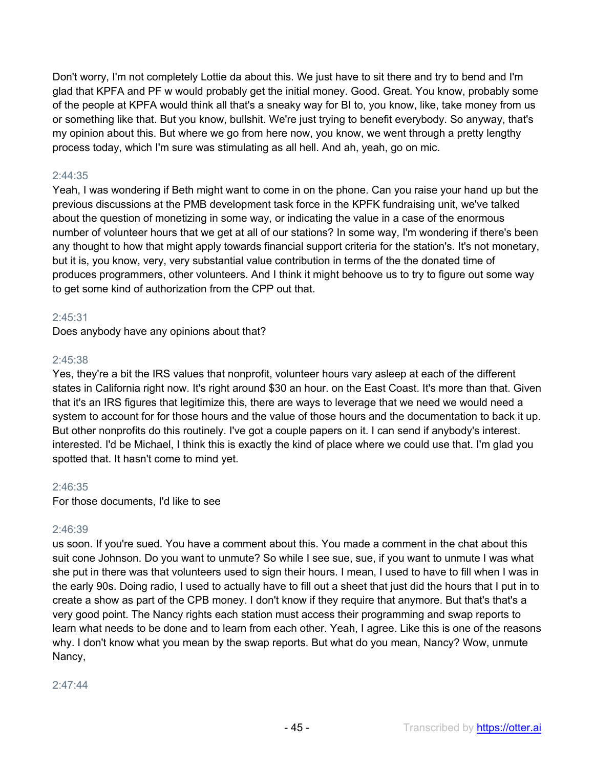Don't worry, I'm not completely Lottie da about this. We just have to sit there and try to bend and I'm glad that KPFA and PF w would probably get the initial money. Good. Great. You know, probably some of the people at KPFA would think all that's a sneaky way for BI to, you know, like, take money from us or something like that. But you know, bullshit. We're just trying to benefit everybody. So anyway, that's my opinion about this. But where we go from here now, you know, we went through a pretty lengthy process today, which I'm sure was stimulating as all hell. And ah, yeah, go on mic.

# 2:44:35

Yeah, I was wondering if Beth might want to come in on the phone. Can you raise your hand up but the previous discussions at the PMB development task force in the KPFK fundraising unit, we've talked about the question of monetizing in some way, or indicating the value in a case of the enormous number of volunteer hours that we get at all of our stations? In some way, I'm wondering if there's been any thought to how that might apply towards financial support criteria for the station's. It's not monetary, but it is, you know, very, very substantial value contribution in terms of the the donated time of produces programmers, other volunteers. And I think it might behoove us to try to figure out some way to get some kind of authorization from the CPP out that.

# 2:45:31

Does anybody have any opinions about that?

#### 2:45:38

Yes, they're a bit the IRS values that nonprofit, volunteer hours vary asleep at each of the different states in California right now. It's right around \$30 an hour. on the East Coast. It's more than that. Given that it's an IRS figures that legitimize this, there are ways to leverage that we need we would need a system to account for for those hours and the value of those hours and the documentation to back it up. But other nonprofits do this routinely. I've got a couple papers on it. I can send if anybody's interest. interested. I'd be Michael, I think this is exactly the kind of place where we could use that. I'm glad you spotted that. It hasn't come to mind yet.

#### 2:46:35

For those documents, I'd like to see

#### 2:46:39

us soon. If you're sued. You have a comment about this. You made a comment in the chat about this suit cone Johnson. Do you want to unmute? So while I see sue, sue, if you want to unmute I was what she put in there was that volunteers used to sign their hours. I mean, I used to have to fill when I was in the early 90s. Doing radio, I used to actually have to fill out a sheet that just did the hours that I put in to create a show as part of the CPB money. I don't know if they require that anymore. But that's that's a very good point. The Nancy rights each station must access their programming and swap reports to learn what needs to be done and to learn from each other. Yeah, I agree. Like this is one of the reasons why. I don't know what you mean by the swap reports. But what do you mean, Nancy? Wow, unmute Nancy,

#### 2:47:44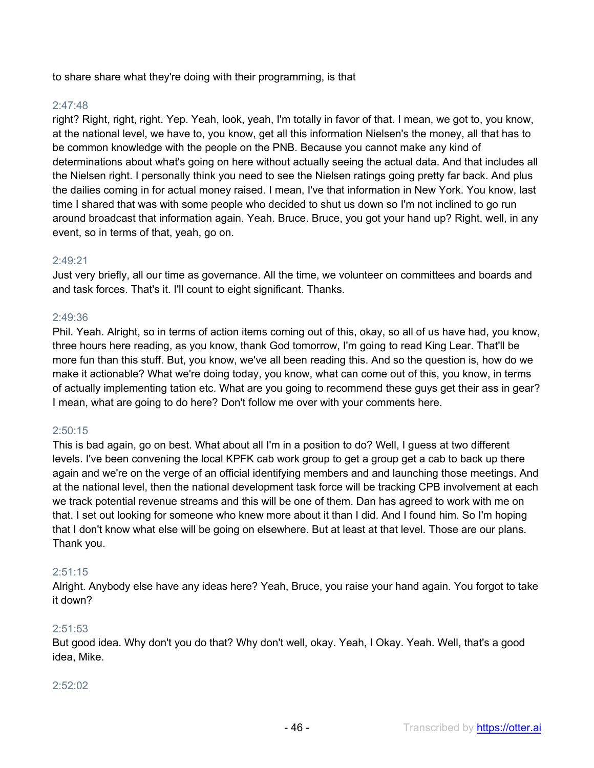to share share what they're doing with their programming, is that

# 2:47:48

right? Right, right, right. Yep. Yeah, look, yeah, I'm totally in favor of that. I mean, we got to, you know, at the national level, we have to, you know, get all this information Nielsen's the money, all that has to be common knowledge with the people on the PNB. Because you cannot make any kind of determinations about what's going on here without actually seeing the actual data. And that includes all the Nielsen right. I personally think you need to see the Nielsen ratings going pretty far back. And plus the dailies coming in for actual money raised. I mean, I've that information in New York. You know, last time I shared that was with some people who decided to shut us down so I'm not inclined to go run around broadcast that information again. Yeah. Bruce. Bruce, you got your hand up? Right, well, in any event, so in terms of that, yeah, go on.

#### 2:49:21

Just very briefly, all our time as governance. All the time, we volunteer on committees and boards and and task forces. That's it. I'll count to eight significant. Thanks.

# 2:49:36

Phil. Yeah. Alright, so in terms of action items coming out of this, okay, so all of us have had, you know, three hours here reading, as you know, thank God tomorrow, I'm going to read King Lear. That'll be more fun than this stuff. But, you know, we've all been reading this. And so the question is, how do we make it actionable? What we're doing today, you know, what can come out of this, you know, in terms of actually implementing tation etc. What are you going to recommend these guys get their ass in gear? I mean, what are going to do here? Don't follow me over with your comments here.

#### 2:50:15

This is bad again, go on best. What about all I'm in a position to do? Well, I guess at two different levels. I've been convening the local KPFK cab work group to get a group get a cab to back up there again and we're on the verge of an official identifying members and and launching those meetings. And at the national level, then the national development task force will be tracking CPB involvement at each we track potential revenue streams and this will be one of them. Dan has agreed to work with me on that. I set out looking for someone who knew more about it than I did. And I found him. So I'm hoping that I don't know what else will be going on elsewhere. But at least at that level. Those are our plans. Thank you.

#### 2:51:15

Alright. Anybody else have any ideas here? Yeah, Bruce, you raise your hand again. You forgot to take it down?

#### 2:51:53

But good idea. Why don't you do that? Why don't well, okay. Yeah, I Okay. Yeah. Well, that's a good idea, Mike.

#### 2:52:02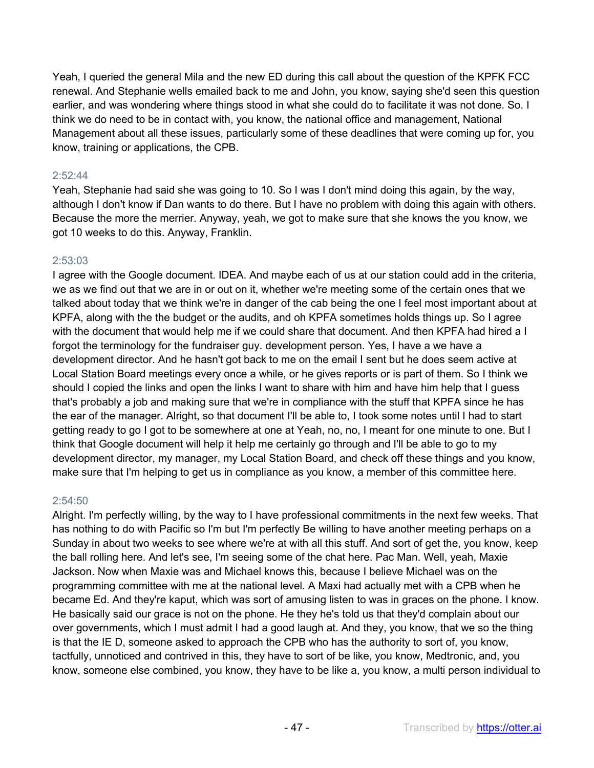Yeah, I queried the general Mila and the new ED during this call about the question of the KPFK FCC renewal. And Stephanie wells emailed back to me and John, you know, saying she'd seen this question earlier, and was wondering where things stood in what she could do to facilitate it was not done. So. I think we do need to be in contact with, you know, the national office and management, National Management about all these issues, particularly some of these deadlines that were coming up for, you know, training or applications, the CPB.

# 2:52:44

Yeah, Stephanie had said she was going to 10. So I was I don't mind doing this again, by the way, although I don't know if Dan wants to do there. But I have no problem with doing this again with others. Because the more the merrier. Anyway, yeah, we got to make sure that she knows the you know, we got 10 weeks to do this. Anyway, Franklin.

# 2:53:03

I agree with the Google document. IDEA. And maybe each of us at our station could add in the criteria, we as we find out that we are in or out on it, whether we're meeting some of the certain ones that we talked about today that we think we're in danger of the cab being the one I feel most important about at KPFA, along with the the budget or the audits, and oh KPFA sometimes holds things up. So I agree with the document that would help me if we could share that document. And then KPFA had hired a I forgot the terminology for the fundraiser guy. development person. Yes, I have a we have a development director. And he hasn't got back to me on the email I sent but he does seem active at Local Station Board meetings every once a while, or he gives reports or is part of them. So I think we should I copied the links and open the links I want to share with him and have him help that I guess that's probably a job and making sure that we're in compliance with the stuff that KPFA since he has the ear of the manager. Alright, so that document I'll be able to, I took some notes until I had to start getting ready to go I got to be somewhere at one at Yeah, no, no, I meant for one minute to one. But I think that Google document will help it help me certainly go through and I'll be able to go to my development director, my manager, my Local Station Board, and check off these things and you know, make sure that I'm helping to get us in compliance as you know, a member of this committee here.

#### 2:54:50

Alright. I'm perfectly willing, by the way to I have professional commitments in the next few weeks. That has nothing to do with Pacific so I'm but I'm perfectly Be willing to have another meeting perhaps on a Sunday in about two weeks to see where we're at with all this stuff. And sort of get the, you know, keep the ball rolling here. And let's see, I'm seeing some of the chat here. Pac Man. Well, yeah, Maxie Jackson. Now when Maxie was and Michael knows this, because I believe Michael was on the programming committee with me at the national level. A Maxi had actually met with a CPB when he became Ed. And they're kaput, which was sort of amusing listen to was in graces on the phone. I know. He basically said our grace is not on the phone. He they he's told us that they'd complain about our over governments, which I must admit I had a good laugh at. And they, you know, that we so the thing is that the IE D, someone asked to approach the CPB who has the authority to sort of, you know, tactfully, unnoticed and contrived in this, they have to sort of be like, you know, Medtronic, and, you know, someone else combined, you know, they have to be like a, you know, a multi person individual to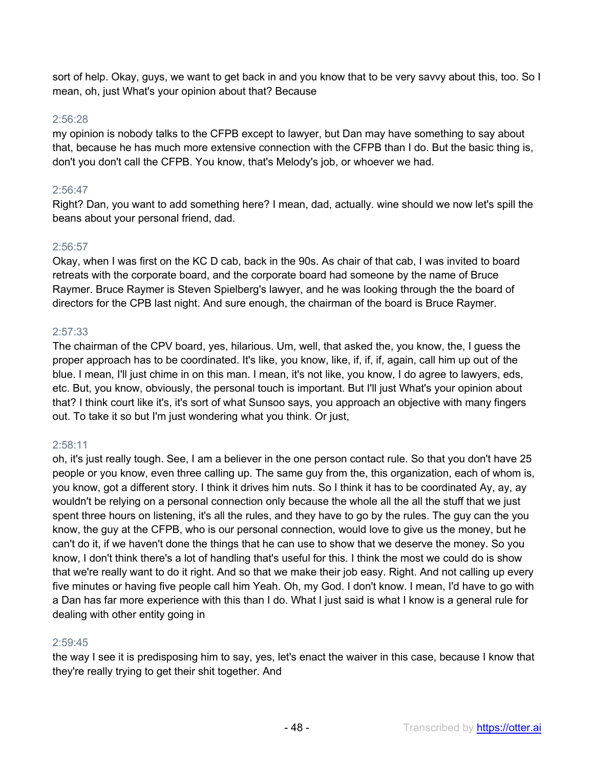sort of help. Okay, guys, we want to get back in and you know that to be very savvy about this, too. So I mean, oh, just What's your opinion about that? Because

## 2:56:28

my opinion is nobody talks to the CFPB except to lawyer, but Dan may have something to say about that, because he has much more extensive connection with the CFPB than I do. But the basic thing is, don't you don't call the CFPB. You know, that's Melody's job, or whoever we had.

# 2:56:47

Right? Dan, you want to add something here? I mean, dad, actually. wine should we now let's spill the beans about your personal friend, dad.

# 2:56:57

Okay, when I was first on the KC D cab, back in the 90s. As chair of that cab, I was invited to board retreats with the corporate board, and the corporate board had someone by the name of Bruce Raymer. Bruce Raymer is Steven Spielberg's lawyer, and he was looking through the the board of directors for the CPB last night. And sure enough, the chairman of the board is Bruce Raymer.

# 2:57:33

The chairman of the CPV board, yes, hilarious. Um, well, that asked the, you know, the, I guess the proper approach has to be coordinated. It's like, you know, like, if, if, if, again, call him up out of the blue. I mean, I'll just chime in on this man. I mean, it's not like, you know, I do agree to lawyers, eds, etc. But, you know, obviously, the personal touch is important. But I'll just What's your opinion about that? I think court like it's, it's sort of what Sunsoo says, you approach an objective with many fingers out. To take it so but I'm just wondering what you think. Or just,

# 2:58:11

oh, it's just really tough. See, I am a believer in the one person contact rule. So that you don't have 25 people or you know, even three calling up. The same guy from the, this organization, each of whom is, you know, got a different story. I think it drives him nuts. So I think it has to be coordinated Ay, ay, ay wouldn't be relying on a personal connection only because the whole all the all the stuff that we just spent three hours on listening, it's all the rules, and they have to go by the rules. The guy can the you know, the guy at the CFPB, who is our personal connection, would love to give us the money, but he can't do it, if we haven't done the things that he can use to show that we deserve the money. So you know, I don't think there's a lot of handling that's useful for this. I think the most we could do is show that we're really want to do it right. And so that we make their job easy. Right. And not calling up every five minutes or having five people call him Yeah. Oh, my God. I don't know. I mean, I'd have to go with a Dan has far more experience with this than I do. What I just said is what I know is a general rule for dealing with other entity going in

# 2:59:45

the way I see it is predisposing him to say, yes, let's enact the waiver in this case, because I know that they're really trying to get their shit together. And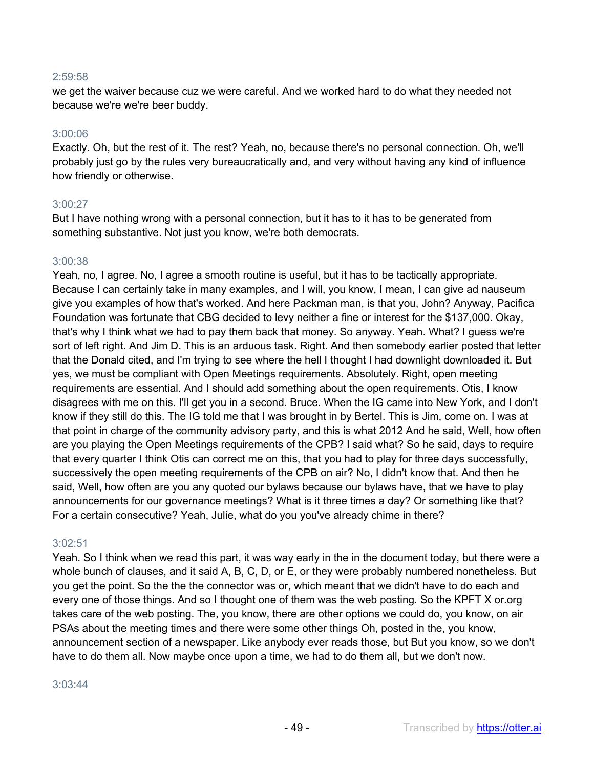#### 2:59:58

we get the waiver because cuz we were careful. And we worked hard to do what they needed not because we're we're beer buddy.

#### 3:00:06

Exactly. Oh, but the rest of it. The rest? Yeah, no, because there's no personal connection. Oh, we'll probably just go by the rules very bureaucratically and, and very without having any kind of influence how friendly or otherwise.

#### 3:00:27

But I have nothing wrong with a personal connection, but it has to it has to be generated from something substantive. Not just you know, we're both democrats.

# 3:00:38

Yeah, no, I agree. No, I agree a smooth routine is useful, but it has to be tactically appropriate. Because I can certainly take in many examples, and I will, you know, I mean, I can give ad nauseum give you examples of how that's worked. And here Packman man, is that you, John? Anyway, Pacifica Foundation was fortunate that CBG decided to levy neither a fine or interest for the \$137,000. Okay, that's why I think what we had to pay them back that money. So anyway. Yeah. What? I guess we're sort of left right. And Jim D. This is an arduous task. Right. And then somebody earlier posted that letter that the Donald cited, and I'm trying to see where the hell I thought I had downlight downloaded it. But yes, we must be compliant with Open Meetings requirements. Absolutely. Right, open meeting requirements are essential. And I should add something about the open requirements. Otis, I know disagrees with me on this. I'll get you in a second. Bruce. When the IG came into New York, and I don't know if they still do this. The IG told me that I was brought in by Bertel. This is Jim, come on. I was at that point in charge of the community advisory party, and this is what 2012 And he said, Well, how often are you playing the Open Meetings requirements of the CPB? I said what? So he said, days to require that every quarter I think Otis can correct me on this, that you had to play for three days successfully, successively the open meeting requirements of the CPB on air? No, I didn't know that. And then he said, Well, how often are you any quoted our bylaws because our bylaws have, that we have to play announcements for our governance meetings? What is it three times a day? Or something like that? For a certain consecutive? Yeah, Julie, what do you you've already chime in there?

#### 3:02:51

Yeah. So I think when we read this part, it was way early in the in the document today, but there were a whole bunch of clauses, and it said A, B, C, D, or E, or they were probably numbered nonetheless. But you get the point. So the the the connector was or, which meant that we didn't have to do each and every one of those things. And so I thought one of them was the web posting. So the KPFT X or.org takes care of the web posting. The, you know, there are other options we could do, you know, on air PSAs about the meeting times and there were some other things Oh, posted in the, you know, announcement section of a newspaper. Like anybody ever reads those, but But you know, so we don't have to do them all. Now maybe once upon a time, we had to do them all, but we don't now.

#### 3:03:44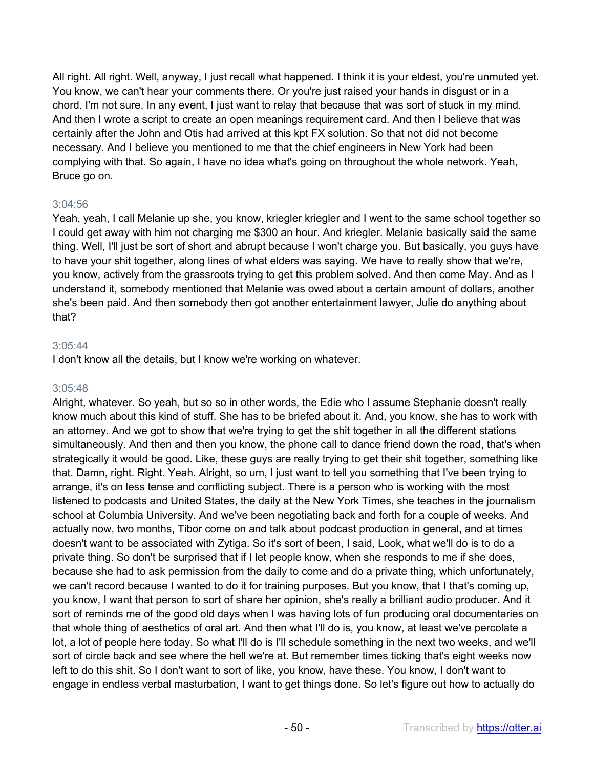All right. All right. Well, anyway, I just recall what happened. I think it is your eldest, you're unmuted yet. You know, we can't hear your comments there. Or you're just raised your hands in disgust or in a chord. I'm not sure. In any event, I just want to relay that because that was sort of stuck in my mind. And then I wrote a script to create an open meanings requirement card. And then I believe that was certainly after the John and Otis had arrived at this kpt FX solution. So that not did not become necessary. And I believe you mentioned to me that the chief engineers in New York had been complying with that. So again, I have no idea what's going on throughout the whole network. Yeah, Bruce go on.

#### 3:04:56

Yeah, yeah, I call Melanie up she, you know, kriegler kriegler and I went to the same school together so I could get away with him not charging me \$300 an hour. And kriegler. Melanie basically said the same thing. Well, I'll just be sort of short and abrupt because I won't charge you. But basically, you guys have to have your shit together, along lines of what elders was saying. We have to really show that we're, you know, actively from the grassroots trying to get this problem solved. And then come May. And as I understand it, somebody mentioned that Melanie was owed about a certain amount of dollars, another she's been paid. And then somebody then got another entertainment lawyer, Julie do anything about that?

# 3:05:44

I don't know all the details, but I know we're working on whatever.

## 3:05:48

Alright, whatever. So yeah, but so so in other words, the Edie who I assume Stephanie doesn't really know much about this kind of stuff. She has to be briefed about it. And, you know, she has to work with an attorney. And we got to show that we're trying to get the shit together in all the different stations simultaneously. And then and then you know, the phone call to dance friend down the road, that's when strategically it would be good. Like, these guys are really trying to get their shit together, something like that. Damn, right. Right. Yeah. Alright, so um, I just want to tell you something that I've been trying to arrange, it's on less tense and conflicting subject. There is a person who is working with the most listened to podcasts and United States, the daily at the New York Times, she teaches in the journalism school at Columbia University. And we've been negotiating back and forth for a couple of weeks. And actually now, two months, Tibor come on and talk about podcast production in general, and at times doesn't want to be associated with Zytiga. So it's sort of been, I said, Look, what we'll do is to do a private thing. So don't be surprised that if I let people know, when she responds to me if she does, because she had to ask permission from the daily to come and do a private thing, which unfortunately, we can't record because I wanted to do it for training purposes. But you know, that I that's coming up, you know, I want that person to sort of share her opinion, she's really a brilliant audio producer. And it sort of reminds me of the good old days when I was having lots of fun producing oral documentaries on that whole thing of aesthetics of oral art. And then what I'll do is, you know, at least we've percolate a lot, a lot of people here today. So what I'll do is I'll schedule something in the next two weeks, and we'll sort of circle back and see where the hell we're at. But remember times ticking that's eight weeks now left to do this shit. So I don't want to sort of like, you know, have these. You know, I don't want to engage in endless verbal masturbation, I want to get things done. So let's figure out how to actually do